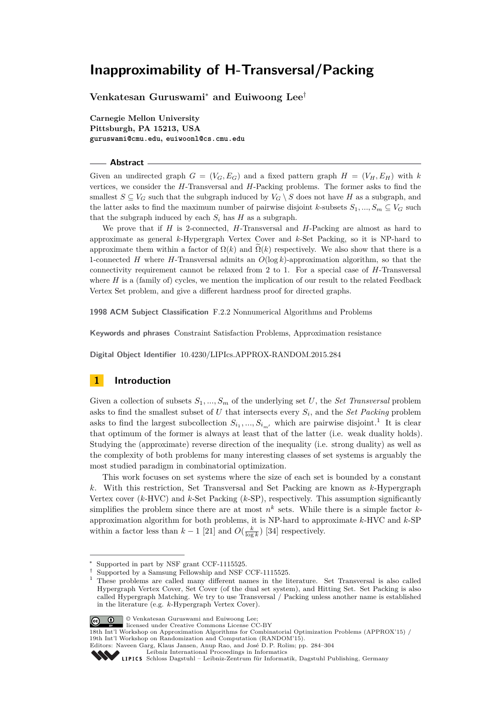**Venkatesan Guruswami**<sup>∗</sup> **and Euiwoong Lee**†

**Carnegie Mellon University Pittsburgh, PA 15213, USA guruswami@cmu.edu, euiwoonl@cs.cmu.edu**

#### **Abstract**

Given an undirected graph  $G = (V_G, E_G)$  and a fixed pattern graph  $H = (V_H, E_H)$  with k vertices, we consider the *H*-Transversal and *H*-Packing problems. The former asks to find the smallest  $S \subseteq V_G$  such that the subgraph induced by  $V_G \setminus S$  does not have *H* as a subgraph, and the latter asks to find the maximum number of pairwise disjoint *k*-subsets  $S_1, ..., S_m \subseteq V_G$  such that the subgraph induced by each  $S_i$  has  $H$  as a subgraph.

We prove that if *H* is 2-connected, *H*-Transversal and *H*-Packing are almost as hard to approximate as general *k*-Hypergraph Vertex Cover and *k*-Set Packing, so it is NP-hard to approximate them within a factor of  $\Omega(k)$  and  $\Omega(k)$  respectively. We also show that there is a 1-connected *H* where *H*-Transversal admits an *O*(log *k*)-approximation algorithm, so that the connectivity requirement cannot be relaxed from 2 to 1. For a special case of *H*-Transversal where  $H$  is a (family of) cycles, we mention the implication of our result to the related Feedback Vertex Set problem, and give a different hardness proof for directed graphs.

**1998 ACM Subject Classification** F.2.2 Nonnumerical Algorithms and Problems

**Keywords and phrases** Constraint Satisfaction Problems, Approximation resistance

**Digital Object Identifier** [10.4230/LIPIcs.APPROX-RANDOM.2015.284](http://dx.doi.org/10.4230/LIPIcs.APPROX-RANDOM.2015.284)

# **1 Introduction**

Given a collection of subsets  $S_1, ..., S_m$  of the underlying set *U*, the *Set Transversal* problem asks to find the smallest subset of *U* that intersects every *S<sup>i</sup>* , and the *Set Packing* problem asks to find the largest subcollection  $S_{i_1},...,S_{i_{m'}}$  $S_{i_1},...,S_{i_{m'}}$  $S_{i_1},...,S_{i_{m'}}$  which are pairwise disjoint.<sup>1</sup> It is clear that optimum of the former is always at least that of the latter (i.e. weak duality holds). Studying the (approximate) reverse direction of the inequality (i.e. strong duality) as well as the complexity of both problems for many interesting classes of set systems is arguably the most studied paradigm in combinatorial optimization.

This work focuses on set systems where the size of each set is bounded by a constant *k*. With this restriction, Set Transversal and Set Packing are known as *k*-Hypergraph Vertex cover (*k*-HVC) and *k*-Set Packing (*k*-SP), respectively. This assumption significantly simplifies the problem since there are at most  $n^k$  sets. While there is a simple factor  $k$ approximation algorithm for both problems, it is NP-hard to approximate *k*-HVC and *k*-SP within a factor less than  $k-1$  [\[21\]](#page-14-0) and  $O(\frac{k}{\log k})$  [\[34\]](#page-15-0) respectively.

<span id="page-0-0"></span><sup>1</sup> These problems are called many different names in the literature. Set Transversal is also called Hypergraph Vertex Cover, Set Cover (of the dual set system), and Hitting Set. Set Packing is also called Hypergraph Matching. We try to use Transversal / Packing unless another name is established in the literature (e.g. *k*-Hypergraph Vertex Cover).



© Venkatesan Guruswami and Euiwoong Lee; licensed under Creative Commons License CC-BY

Supported in part by NSF grant CCF-1115525.

Supported by a Samsung Fellowship and NSF CCF-1115525.

<sup>18</sup>th Int'l Workshop on Approximation Algorithms for Combinatorial Optimization Problems (APPROX'15) / 19th Int'l Workshop on Randomization and Computation (RANDOM'15).

Editors: Naveen Garg, Klaus Jansen, Anup Rao, and José D. P. Rolim; pp. 284[–304](#page-20-0)

[Leibniz International Proceedings in Informatics](http://www.dagstuhl.de/lipics/)

[Schloss Dagstuhl – Leibniz-Zentrum für Informatik, Dagstuhl Publishing, Germany](http://www.dagstuhl.de)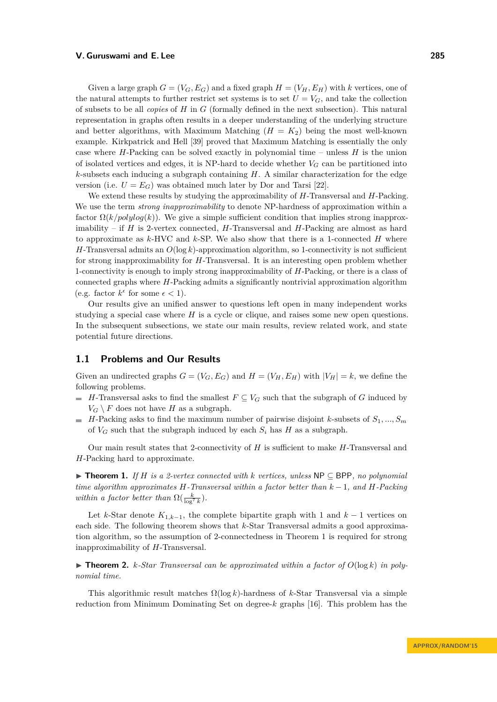Given a large graph  $G = (V_G, E_G)$  and a fixed graph  $H = (V_H, E_H)$  with *k* vertices, one of the natural attempts to further restrict set systems is to set  $U = V_G$ , and take the collection of subsets to be all *copies* of *H* in *G* (formally defined in the next subsection). This natural representation in graphs often results in a deeper understanding of the underlying structure and better algorithms, with Maximum Matching  $(H = K_2)$  being the most well-known example. Kirkpatrick and Hell [\[39\]](#page-15-1) proved that Maximum Matching is essentially the only case where *H*-Packing can be solved exactly in polynomial time – unless *H* is the union of isolated vertices and edges, it is NP-hard to decide whether  $V_G$  can be partitioned into *k*-subsets each inducing a subgraph containing *H*. A similar characterization for the edge version (i.e.  $U = E_G$ ) was obtained much later by Dor and Tarsi [\[22\]](#page-14-1).

We extend these results by studying the approximability of *H*-Transversal and *H*-Packing. We use the term *strong inapproximability* to denote NP-hardness of approximation within a factor  $\Omega(k/polylog(k))$ . We give a simple sufficient condition that implies strong inapproximability – if *H* is 2-vertex connected, *H*-Transversal and *H*-Packing are almost as hard to approximate as *k*-HVC and *k*-SP. We also show that there is a 1-connected *H* where *H*-Transversal admits an  $O(\log k)$ -approximation algorithm, so 1-connectivity is not sufficient for strong inapproximability for *H*-Transversal. It is an interesting open problem whether 1-connectivity is enough to imply strong inapproximability of *H*-Packing, or there is a class of connected graphs where *H*-Packing admits a significantly nontrivial approximation algorithm (e.g. factor  $k^{\epsilon}$  for some  $\epsilon < 1$ ).

Our results give an unified answer to questions left open in many independent works studying a special case where *H* is a cycle or clique, and raises some new open questions. In the subsequent subsections, we state our main results, review related work, and state potential future directions.

# **1.1 Problems and Our Results**

Given an undirected graphs  $G = (V_G, E_G)$  and  $H = (V_H, E_H)$  with  $|V_H| = k$ , we define the following problems.

- $\blacksquare$  *H*-Transversal asks to find the smallest  $F \subseteq V_G$  such that the subgraph of *G* induced by  $V_G \setminus F$  does not have *H* as a subgraph.
- *H*-Packing asks to find the maximum number of pairwise disjoint *k*-subsets of  $S_1, ..., S_m$ of  $V_G$  such that the subgraph induced by each  $S_i$  has  $H$  as a subgraph.

Our main result states that 2-connectivity of *H* is sufficient to make *H*-Transversal and *H*-Packing hard to approximate.

<span id="page-1-0"></span>I **Theorem 1.** *If H is a 2-vertex connected with k vertices, unless* NP ⊆ BPP*, no polynomial time algorithm approximates H-Transversal within a factor better than k* − 1*, and H-Packing within a factor better than*  $\Omega(\frac{k}{\log^7 k})$ *.* 

Let *k*-Star denote  $K_{1,k-1}$ , the complete bipartite graph with 1 and  $k-1$  vertices on each side. The following theorem shows that *k*-Star Transversal admits a good approximation algorithm, so the assumption of 2-connectedness in Theorem [1](#page-1-0) is required for strong inapproximability of *H*-Transversal.

<span id="page-1-1"></span> $\triangleright$  **Theorem 2.** *k*-Star Transversal can be approximated within a factor of  $O(\log k)$  in poly*nomial time.*

This algorithmic result matches Ω(log *k*)-hardness of *k*-Star Transversal via a simple reduction from Minimum Dominating Set on degree-*k* graphs [\[16\]](#page-14-2). This problem has the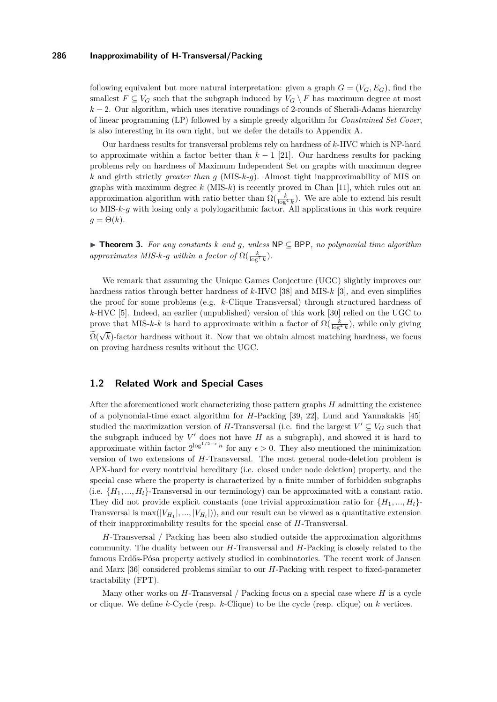following equivalent but more natural interpretation: given a graph  $G = (V_G, E_G)$ , find the smallest  $F \subseteq V_G$  such that the subgraph induced by  $V_G \setminus F$  has maximum degree at most  $k-2$ . Our algorithm, which uses iterative roundings of 2-rounds of Sherali-Adams hierarchy of linear programming (LP) followed by a simple greedy algorithm for *Constrained Set Cover*, is also interesting in its own right, but we defer the details to Appendix [A.](#page-16-0)

Our hardness results for transversal problems rely on hardness of *k*-HVC which is NP-hard to approximate within a factor better than  $k-1$  [\[21\]](#page-14-0). Our hardness results for packing problems rely on hardness of Maximum Independent Set on graphs with maximum degree *k* and girth strictly *greater than g* (MIS-*k*-*g*). Almost tight inapproximability of MIS on graphs with maximum degree *k* (MIS-*k*) is recently proved in Chan [\[11\]](#page-14-3), which rules out an approximation algorithm with ratio better than  $\Omega(\frac{k}{\log^4 k})$ . We are able to extend his result to MIS-*k*-*g* with losing only a polylogarithmic factor. All applications in this work require  $q = \Theta(k)$ .

<span id="page-2-0"></span>I **Theorem 3.** *For any constants k and g, unless* NP ⊆ BPP*, no polynomial time algorithm approximates MIS-k-g within a factor of*  $\Omega(\frac{k}{\log^7 k})$ *.* 

We remark that assuming the Unique Games Conjecture (UGC) slightly improves our hardness ratios through better hardness of *k*-HVC [\[38\]](#page-15-2) and MIS-*k* [\[3\]](#page-13-0), and even simplifies the proof for some problems (e.g. *k*-Clique Transversal) through structured hardness of *k*-HVC [\[5\]](#page-13-1). Indeed, an earlier (unpublished) version of this work [\[30\]](#page-15-3) relied on the UGC to prove that MIS-*k*-*k* is hard to approximate within a factor of  $\Omega(\frac{k}{\log^4 k})$ , while only giving  $\Omega(\sqrt{k})$ -factor hardness without it. Now that we obtain almost matching hardness, we focus on proving hardness results without the UGC.

## **1.2 Related Work and Special Cases**

After the aforementioned work characterizing those pattern graphs *H* admitting the existence of a polynomial-time exact algorithm for *H*-Packing [\[39,](#page-15-1) [22\]](#page-14-1), Lund and Yannakakis [\[45\]](#page-15-4) studied the maximization version of *H*-Transversal (i.e. find the largest  $V' \subseteq V_G$  such that the subgraph induced by  $V'$  does not have  $H$  as a subgraph), and showed it is hard to approximate within factor  $2^{\log^{1/2-\epsilon} n}$  for any  $\epsilon > 0$ . They also mentioned the minimization version of two extensions of *H*-Transversal. The most general node-deletion problem is APX-hard for every nontrivial hereditary (i.e. closed under node deletion) property, and the special case where the property is characterized by a finite number of forbidden subgraphs (i.e.  $\{H_1, ..., H_l\}$ -Transversal in our terminology) can be approximated with a constant ratio. They did not provide explicit constants (one trivial approximation ratio for  $\{H_1, ..., H_l\}$ Transversal is  $\max(|V_{H_1}|, ..., |V_{H_l}|)$ , and our result can be viewed as a quantitative extension of their inapproximability results for the special case of *H*-Transversal.

*H*-Transversal / Packing has been also studied outside the approximation algorithms community. The duality between our *H*-Transversal and *H*-Packing is closely related to the famous Erdős-Pósa property actively studied in combinatorics. The recent work of Jansen and Marx [\[36\]](#page-15-5) considered problems similar to our *H*-Packing with respect to fixed-parameter tractability (FPT).

Many other works on *H*-Transversal / Packing focus on a special case where *H* is a cycle or clique. We define *k*-Cycle (resp. *k*-Clique) to be the cycle (resp. clique) on *k* vertices.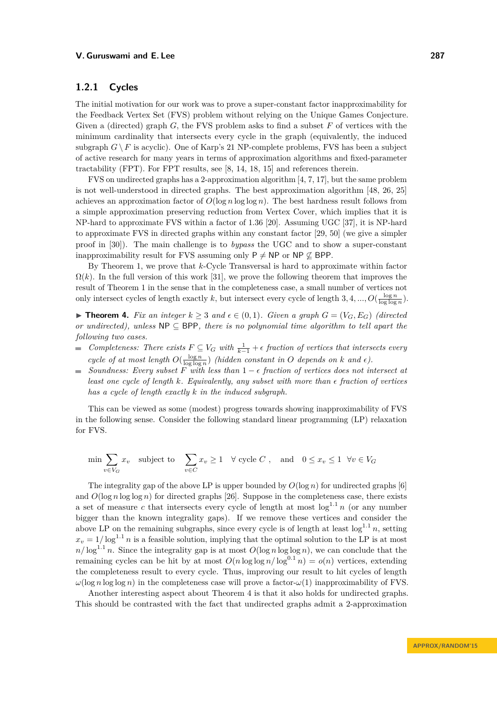# **1.2.1 Cycles**

The initial motivation for our work was to prove a super-constant factor inapproximability for the Feedback Vertex Set (FVS) problem without relying on the Unique Games Conjecture. Given a (directed) graph *G*, the FVS problem asks to find a subset *F* of vertices with the minimum cardinality that intersects every cycle in the graph (equivalently, the induced subgraph  $G \setminus F$  is acyclic). One of Karp's 21 NP-complete problems, FVS has been a subject of active research for many years in terms of approximation algorithms and fixed-parameter tractability (FPT). For FPT results, see [\[8,](#page-13-2) [14,](#page-14-4) [18,](#page-14-5) [15\]](#page-14-6) and references therein.

FVS on undirected graphs has a 2-approximation algorithm [\[4,](#page-13-3) [7,](#page-13-4) [17\]](#page-14-7), but the same problem is not well-understood in directed graphs. The best approximation algorithm [\[48,](#page-15-6) [26,](#page-14-8) [25\]](#page-14-9) achieves an approximation factor of  $O(\log n \log \log n)$ . The best hardness result follows from a simple approximation preserving reduction from Vertex Cover, which implies that it is NP-hard to approximate FVS within a factor of 1*.*36 [\[20\]](#page-14-10). Assuming UGC [\[37\]](#page-15-7), it is NP-hard to approximate FVS in directed graphs within any constant factor [\[29,](#page-14-11) [50\]](#page-15-8) (we give a simpler proof in [\[30\]](#page-15-3)). The main challenge is to *bypass* the UGC and to show a super-constant inapproximability result for FVS assuming only  $P \neq NP$  or  $NP \not\subset BPP$ .

By Theorem [1,](#page-1-0) we prove that *k*-Cycle Transversal is hard to approximate within factor  $\Omega(k)$ . In the full version of this work [\[31\]](#page-15-9), we prove the following theorem that improves the result of Theorem [1](#page-1-0) in the sense that in the completeness case, a small number of vertices not only intersect cycles of length exactly k, but intersect every cycle of length  $3, 4, ..., O(\frac{\log n}{\log \log n})$ .

<span id="page-3-0"></span>▶ **Theorem 4.** Fix an integer  $k > 3$  and  $\epsilon \in (0,1)$ . Given a graph  $G = (V_G, E_G)$  (directed *or undirected), unless* NP ⊆ BPP*, there is no polynomial time algorithm to tell apart the following two cases.*

- *Completeness: There exists*  $F \subseteq V_G$  *with*  $\frac{1}{k-1} + \epsilon$  *fraction of vertices that intersects every cycle of at most length*  $O(\frac{\log n}{\log \log n})$  *(hidden constant in O depends on k and*  $\epsilon$ ).
- *Soundness: Every subset*  $\overline{F}$  *with less than*  $1 \epsilon$  *fraction of vertices does not intersect at*  $\sim$ *least one cycle of length*  $k$ *. Equivalently, any subset with more than*  $\epsilon$  *fraction of vertices has a cycle of length exactly k in the induced subgraph.*

This can be viewed as some (modest) progress towards showing inapproximability of FVS in the following sense. Consider the following standard linear programming (LP) relaxation for FVS.

$$
\min \sum_{v \in V_G} x_v \quad \text{subject to} \quad \sum_{v \in C} x_v \ge 1 \quad \forall \text{ cycle } C \text{ ,} \quad \text{and} \quad 0 \le x_v \le 1 \quad \forall v \in V_G
$$

The integrality gap of the above LP is upper bounded by  $O(\log n)$  for undirected graphs [\[6\]](#page-13-5) and  $O(\log n \log \log n)$  for directed graphs [\[26\]](#page-14-8). Suppose in the completeness case, there exists a set of measure *c* that intersects every cycle of length at most  $\log^{1.1} n$  (or any number bigger than the known integrality gaps). If we remove these vertices and consider the above LP on the remaining subgraphs, since every cycle is of length at least  $\log^{1.1} n$ , setting  $x_v = 1/\log^{1.1} n$  is a feasible solution, implying that the optimal solution to the LP is at most  $n/\log^{1.1} n$ . Since the integrality gap is at most  $O(\log n \log \log n)$ , we can conclude that the remaining cycles can be hit by at most  $O(n \log \log n / \log^{0.1} n) = o(n)$  vertices, extending the completeness result to every cycle. Thus, improving our result to hit cycles of length  $\omega(\log n \log \log n)$  in the completeness case will prove a factor- $\omega(1)$  inapproximability of FVS.

Another interesting aspect about Theorem [4](#page-3-0) is that it also holds for undirected graphs. This should be contrasted with the fact that undirected graphs admit a 2-approximation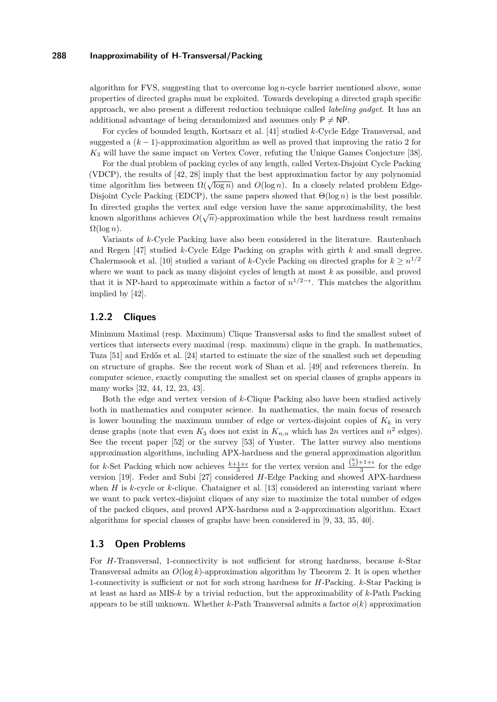algorithm for FVS, suggesting that to overcome log *n*-cycle barrier mentioned above, some properties of directed graphs must be exploited. Towards developing a directed graph specific approach, we also present a different reduction technique called *labeling gadget*. It has an additional advantage of being derandomized and assumes only  $P \neq NP$ .

For cycles of bounded length, Kortsarz et al. [\[41\]](#page-15-10) studied *k*-Cycle Edge Transversal, and suggested a (*k* − 1)-approximation algorithm as well as proved that improving the ratio 2 for *K*<sup>3</sup> will have the same impact on Vertex Cover, refuting the Unique Games Conjecture [\[38\]](#page-15-2).

For the dual problem of packing cycles of any length, called Vertex-Disjoint Cycle Packing (VDCP), the results of [\[42,](#page-15-11) [28\]](#page-14-12) imply that the best approximation factor by any polynomial time algorithm lies between  $\Omega(\sqrt{\log n})$  and  $O(\log n)$ . In a closely related problem Edge-Disjoint Cycle Packing (EDCP), the same papers showed that  $\Theta(\log n)$  is the best possible. In directed graphs the vertex and edge version have the same approximability, the best known algorithms achieves  $O(\sqrt{n})$ -approximation while the best hardness result remains  $\Omega(\log n)$ .

Variants of *k*-Cycle Packing have also been considered in the literature. Rautenbach and Regen [\[47\]](#page-15-12) studied *k*-Cycle Edge Packing on graphs with girth *k* and small degree. Chalermsook et al. [\[10\]](#page-14-13) studied a variant of *k*-Cycle Packing on directed graphs for  $k \geq n^{1/2}$ where we want to pack as many disjoint cycles of length at most *k* as possible, and proved that it is NP-hard to approximate within a factor of  $n^{1/2-\epsilon}$ . This matches the algorithm implied by [\[42\]](#page-15-11).

# **1.2.2 Cliques**

Minimum Maximal (resp. Maximum) Clique Transversal asks to find the smallest subset of vertices that intersects every maximal (resp. maximum) clique in the graph. In mathematics, Tuza [\[51\]](#page-15-13) and Erdős et al. [\[24\]](#page-14-14) started to estimate the size of the smallest such set depending on structure of graphs. See the recent work of Shan et al. [\[49\]](#page-15-14) and references therein. In computer science, exactly computing the smallest set on special classes of graphs appears in many works [\[32,](#page-15-15) [44,](#page-15-16) [12,](#page-14-15) [23,](#page-14-16) [43\]](#page-15-17).

Both the edge and vertex version of *k*-Clique Packing also have been studied actively both in mathematics and computer science. In mathematics, the main focus of research is lower bounding the maximum number of edge or vertex-disjoint copies of  $K_k$  in very dense graphs (note that even  $K_3$  does not exist in  $K_{n,n}$  which has 2*n* vertices and  $n^2$  edges). See the recent paper [\[52\]](#page-16-1) or the survey [\[53\]](#page-16-2) of Yuster. The latter survey also mentions approximation algorithms, including APX-hardness and the general approximation algorithm for *k*-Set Packing which now achieves  $\frac{k+1+\epsilon}{3}$  for the vertex version and  $\frac{\binom{k}{2}+1+\epsilon}{3}$  for the edge version [\[19\]](#page-14-17). Feder and Subi [\[27\]](#page-14-18) considered *H*-Edge Packing and showed APX-hardness when *H* is *k*-cycle or *k*-clique. Chataigner et al. [\[13\]](#page-14-19) considered an interesting variant where we want to pack vertex-disjoint cliques of any size to maximize the total number of edges of the packed cliques, and proved APX-hardness and a 2-approximation algorithm. Exact algorithms for special classes of graphs have been considered in [\[9,](#page-13-6) [33,](#page-15-18) [35,](#page-15-19) [40\]](#page-15-20).

# **1.3 Open Problems**

For *H*-Transversal, 1-connectivity is not sufficient for strong hardness, because *k*-Star Transversal admits an *O*(log *k*)-approximation algorithm by Theorem [2.](#page-1-1) It is open whether 1-connectivity is sufficient or not for such strong hardness for *H*-Packing. *k*-Star Packing is at least as hard as MIS-*k* by a trivial reduction, but the approximability of *k*-Path Packing appears to be still unknown. Whether  $k$ -Path Transversal admits a factor  $o(k)$  approximation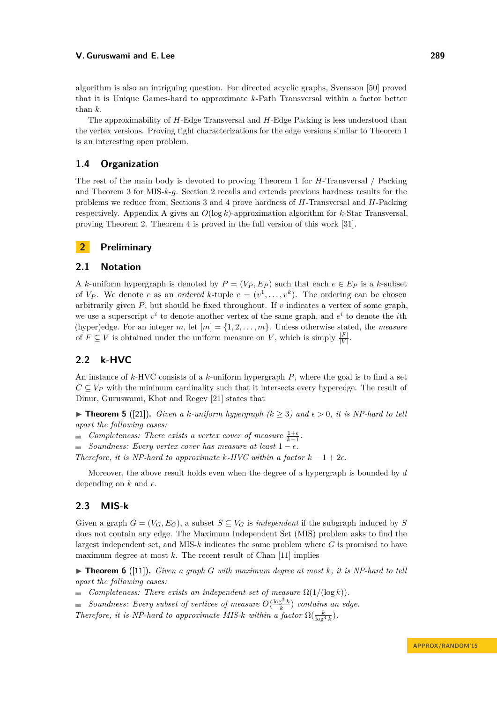algorithm is also an intriguing question. For directed acyclic graphs, Svensson [\[50\]](#page-15-8) proved that it is Unique Games-hard to approximate *k*-Path Transversal within a factor better than *k*.

The approximability of *H*-Edge Transversal and *H*-Edge Packing is less understood than the vertex versions. Proving tight characterizations for the edge versions similar to Theorem [1](#page-1-0) is an interesting open problem.

# **1.4 Organization**

The rest of the main body is devoted to proving Theorem [1](#page-1-0) for *H*-Transversal / Packing and Theorem [3](#page-2-0) for MIS-*k*-*g*. Section [2](#page-5-0) recalls and extends previous hardness results for the problems we reduce from; Sections [3](#page-6-0) and [4](#page-9-0) prove hardness of *H*-Transversal and *H*-Packing respectively. Appendix [A](#page-16-0) gives an *O*(log *k*)-approximation algorithm for *k*-Star Transversal, proving Theorem [2.](#page-1-1) Theorem [4](#page-3-0) is proved in the full version of this work [\[31\]](#page-15-9).

# <span id="page-5-0"></span>**2 Preliminary**

# **2.1 Notation**

A *k*-uniform hypergraph is denoted by  $P = (V_P, E_P)$  such that each  $e \in E_P$  is a *k*-subset of  $V_P$ . We denote *e* as an *ordered k*-tuple  $e = (v^1, \ldots, v^k)$ . The ordering can be chosen arbitrarily given *P*, but should be fixed throughout. If *v* indicates a vertex of some graph, we use a superscript  $v^i$  to denote another vertex of the same graph, and  $e^i$  to denote the *i*th (hyper)edge. For an integer *m*, let  $[m] = \{1, 2, \ldots, m\}$ . Unless otherwise stated, the *measure* of  $F \subseteq V$  is obtained under the uniform measure on *V*, which is simply  $\frac{|F|}{|V|}$ .

# **2.2 k-HVC**

An instance of *k*-HVC consists of a *k*-uniform hypergraph *P*, where the goal is to find a set  $C \subseteq V_P$  with the minimum cardinality such that it intersects every hyperedge. The result of Dinur, Guruswami, Khot and Regev [\[21\]](#page-14-0) states that

<span id="page-5-1"></span>▶ **Theorem 5** ([\[21\]](#page-14-0)). *Given a k*-uniform hypergraph ( $k \geq 3$ ) and  $\epsilon > 0$ , it is NP-hard to tell *apart the following cases:*

- *Completeness: There exists a vertex cover of measure*  $\frac{1+\epsilon}{k-1}$ .
- $Soundness: Every vertex cover has measure at least 1 \epsilon.$

*Therefore, it is NP-hard to approximate*  $k$ *-HVC within a factor*  $k - 1 + 2\epsilon$ *.* 

Moreover, the above result holds even when the degree of a hypergraph is bounded by *d* depending on  $k$  and  $\epsilon$ .

# **2.3 MIS-k**

Given a graph  $G = (V_G, E_G)$ , a subset  $S \subseteq V_G$  is *independent* if the subgraph induced by S does not contain any edge. The Maximum Independent Set (MIS) problem asks to find the largest independent set, and MIS-*k* indicates the same problem where *G* is promised to have maximum degree at most *k*. The recent result of Chan [\[11\]](#page-14-3) implies

 $\triangleright$  **Theorem 6** ([\[11\]](#page-14-3)). *Given a graph G with maximum degree at most k, it is NP-hard to tell apart the following cases:*

 $\blacksquare$  *Completeness: There exists an independent set of measure*  $\Omega(1/(\log k))$ *.* 

*Soundness:* Every subset of vertices of measure  $O(\frac{\log^3 k}{k})$  contains an edge.

*Therefore, it is NP-hard to approximate MIS-* $k$  *within a factor*  $\Omega(\frac{k}{\log^4 k})$ .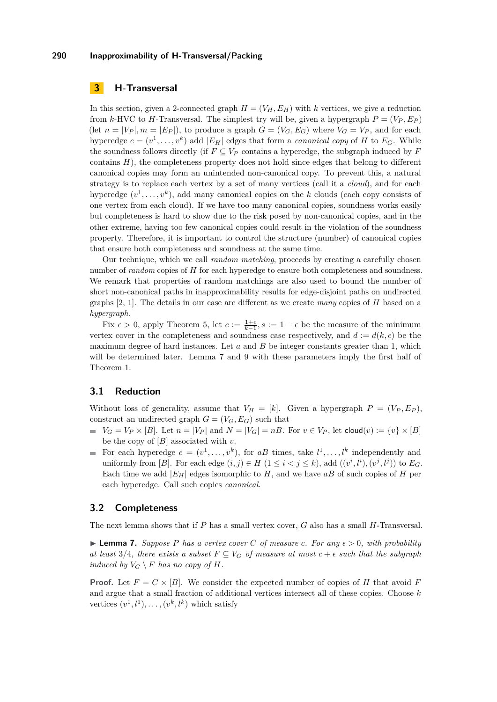# <span id="page-6-0"></span>**3 H-Transversal**

In this section, given a 2-connected graph  $H = (V_H, E_H)$  with *k* vertices, we give a reduction from *k*-HVC to *H*-Transversal. The simplest try will be, given a hypergraph  $P = (V_P, E_P)$ (let  $n = |V_P|, m = |E_P|$ ), to produce a graph  $G = (V_G, E_G)$  where  $V_G = V_P$ , and for each hyperedge  $e = (v^1, \ldots, v^k)$  add  $|E_H|$  edges that form a *canonical copy* of *H* to  $E_G$ . While the soundness follows directly (if  $F \subseteq V_P$  contains a hyperedge, the subgraph induced by  $F$ contains *H*), the completeness property does not hold since edges that belong to different canonical copies may form an unintended non-canonical copy. To prevent this, a natural strategy is to replace each vertex by a set of many vertices (call it a *cloud*), and for each hyperedge  $(v^1, \ldots, v^k)$ , add many canonical copies on the *k* clouds (each copy consists of one vertex from each cloud). If we have too many canonical copies, soundness works easily but completeness is hard to show due to the risk posed by non-canonical copies, and in the other extreme, having too few canonical copies could result in the violation of the soundness property. Therefore, it is important to control the structure (number) of canonical copies that ensure both completeness and soundness at the same time.

Our technique, which we call *random matching*, proceeds by creating a carefully chosen number of *random* copies of *H* for each hyperedge to ensure both completeness and soundness. We remark that properties of random matchings are also used to bound the number of short non-canonical paths in inapproximability results for edge-disjoint paths on undirected graphs [\[2,](#page-13-7) [1\]](#page-13-8). The details in our case are different as we create *many* copies of *H* based on a *hypergraph*.

Fix  $\epsilon > 0$ , apply Theorem [5,](#page-5-1) let  $c := \frac{1+\epsilon}{k-1}, s := 1-\epsilon$  be the measure of the minimum vertex cover in the completeness and soundness case respectively, and  $d := d(k, \epsilon)$  be the maximum degree of hard instances. Let *a* and *B* be integer constants greater than 1, which will be determined later. Lemma [7](#page-6-1) and [9](#page-9-1) with these parameters imply the first half of Theorem [1.](#page-1-0)

# **3.1 Reduction**

Without loss of generality, assume that  $V_H = [k]$ . Given a hypergraph  $P = (V_P, E_P)$ , construct an undirected graph  $G = (V_G, E_G)$  such that

- $V_G = V_P \times [B]$ . Let  $n = |V_P|$  and  $N = |V_G| = n$ . For  $v \in V_P$ , let cloud $(v) := \{v\} \times [B]$ be the copy of [*B*] associated with *v*.
- For each hyperedge  $e = (v^1, \ldots, v^k)$ , for aB times, take  $l^1, \ldots, l^k$  independently and uniformly from  $[B]$ . For each edge  $(i, j) \in H$   $(1 \leq i < j \leq k)$ , add  $((v^i, l^i), (v^j, l^j))$  to  $E_G$ . Each time we add  $|E_H|$  edges isomorphic to *H*, and we have *aB* of such copies of *H* per each hyperedge. Call such copies *canonical*.

# **3.2 Completeness**

The next lemma shows that if *P* has a small vertex cover, *G* also has a small *H*-Transversal.

<span id="page-6-1"></span>**Lemma 7.** Suppose P has a vertex cover C of measure c. For any  $\epsilon > 0$ , with probability *at least* 3*/*4*, there exists a subset*  $F \subseteq V_G$  *of measure at most*  $c + \epsilon$  *such that the subgraph induced by*  $V_G \setminus F$  *has no copy of*  $H$ *.* 

**Proof.** Let  $F = C \times [B]$ . We consider the expected number of copies of *H* that avoid *F* and argue that a small fraction of additional vertices intersect all of these copies. Choose *k* vertices  $(v^1, l^1), \ldots, (v^k, l^k)$  which satisfy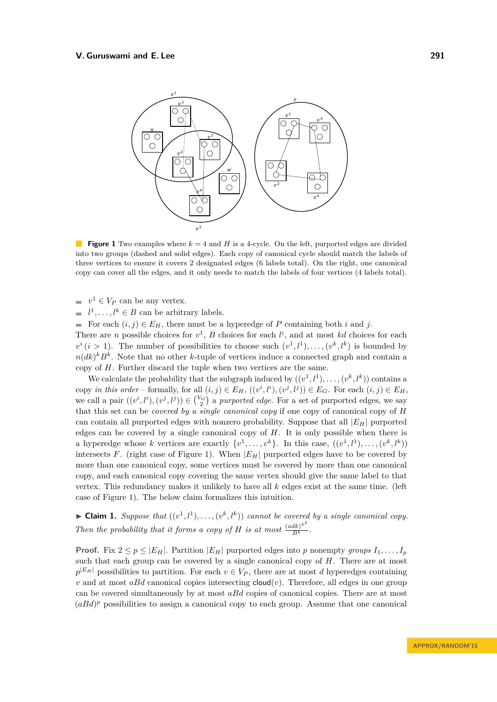<span id="page-7-0"></span>

**Figure 1** Two examples where  $k = 4$  and *H* is a 4-cycle. On the left, purported edges are divided into two groups (dashed and solid edges). Each copy of canonical cycle should match the labels of three vertices to ensure it covers 2 designated edges (6 labels total). On the right, one canonical copy can cover all the edges, and it only needs to match the labels of four vertices (4 labels total).

 $v^1 \in V_P$  can be any vertex.

 $l^1, \ldots, l^k \in B$  can be arbitrary labels.

For each  $(i, j) \in E_H$ , there must be a hyperedge of *P* containing both *i* and *j*.

There are *n* possible choices for  $v^1$ , *B* choices for each  $l^i$ , and at most *kd* choices for each  $v^i$  (*i* > 1). The number of possibilities to choose such  $(v^1, l^1), \ldots, (v^k, l^k)$  is bounded by  $n(dk)^k B^k$ . Note that no other *k*-tuple of vertices induce a connected graph and contain a copy of *H*. Further discard the tuple when two vertices are the same.

We calculate the probability that the subgraph induced by  $((v^1, l^1), \ldots, (v^k, l^k))$  contains a copy in this order – formally, for all  $(i, j) \in E_H$ ,  $((v^i, l^i), (v^j, l^j)) \in E_G$ . For each  $(i, j) \in E_H$ , we call a pair  $((v^i, l^i), (v^j, l^j)) \in {V_G \choose 2}$  a *purported edge*. For a set of purported edges, we say that this set can be *covered by a single canonical copy* if one copy of canonical copy of *H* can contain all purported edges with nonzero probability. Suppose that all |*EH*| purported edges can be covered by a single canonical copy of *H*. It is only possible when there is a hyperedge whose *k* vertices are exactly  $\{v^1, \ldots, v^k\}$ . In this case,  $((v^1, l^1), \ldots, (v^k, l^k))$ intersects *F*. (right case of Figure [1\)](#page-7-0). When  $|E_H|$  purported edges have to be covered by more than one canonical copy, some vertices must be covered by more than one canonical copy, and each canonical copy covering the same vertex should give the same label to that vertex. This redundancy makes it unlikely to have all *k* edges exist at the same time. (left case of Figure [1\)](#page-7-0). The below claim formalizes this intuition.

 $\blacktriangleright$  **Claim 1.** *Suppose that*  $((v^1, l^1), \ldots, (v^k, l^k))$  *cannot be covered by a single canonical copy. Then the probability that it forms a copy of <i>H is at most*  $\frac{(adk)^{k^2}}{B^k}$ .

**Proof.** Fix  $2 \leq p \leq |E_H|$ . Partition  $|E_H|$  purported edges into *p* nonempty *groups*  $I_1, \ldots, I_p$ such that each group can be covered by a single canonical copy of *H*. There are at most  $p^{|E_H|}$  possibilities to partition. For each  $v \in V_P$ , there are at most *d* hyperedges containing *v* and at most *aBd* canonical copies intersecting  $cloud(v)$ . Therefore, all edges in one group can be covered simultaneously by at most *aBd* copies of canonical copies. There are at most  $(aBd)^p$  possibilities to assign a canonical copy to each group. Assume that one canonical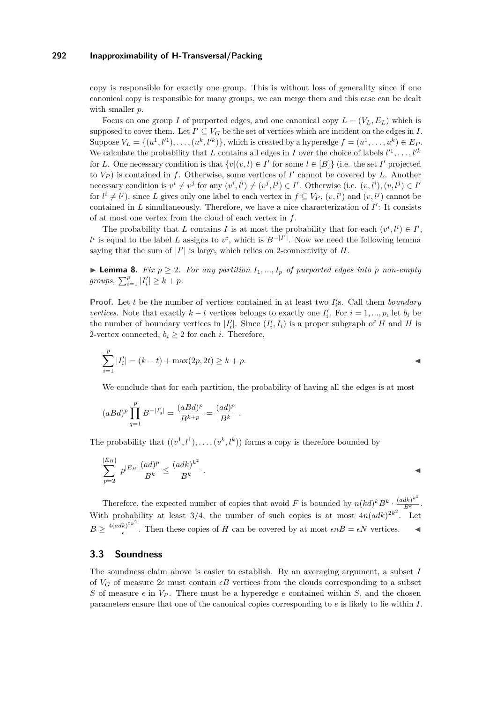copy is responsible for exactly one group. This is without loss of generality since if one canonical copy is responsible for many groups, we can merge them and this case can be dealt with smaller *p*.

Focus on one group *I* of purported edges, and one canonical copy  $L = (V_L, E_L)$  which is supposed to cover them. Let  $I' \subseteq V_G$  be the set of vertices which are incident on the edges in *I*. Suppose  $V_L = \{(u^1, l'^1), \ldots, (u^k, l'^k)\}$ , which is created by a hyperedge  $f = (u^1, \ldots, u^k) \in E_P$ . We calculate the probability that *L* contains all edges in *I* over the choice of labels  $l'^{1}, \ldots, l'^{k}$ for *L*. One necessary condition is that  $\{v | (v, l) \in I' \text{ for some } l \in [B]\}$  (i.e. the set *I'* projected to  $V_P$ ) is contained in *f*. Otherwise, some vertices of  $I'$  cannot be covered by  $L$ . Another necessary condition is  $v^i \neq v^j$  for any  $(v^i, l^i) \neq (v^j, l^j) \in I'$ . Otherwise (i.e.  $(v, l^i), (v, l^j) \in I'$ for  $l^i \neq l^j$ ), since *L* gives only one label to each vertex in  $f \subseteq V_P$ ,  $(v, l^i)$  and  $(v, l^j)$  cannot be contained in  $L$  simultaneously. Therefore, we have a nice characterization of  $I'$ : It consists of at most one vertex from the cloud of each vertex in *f*.

The probability that *L* contains *I* is at most the probability that for each  $(v^i, l^i) \in I'$ ,  $l^i$  is equal to the label *L* assigns to  $v^i$ , which is  $B^{-|I'|}$ . Now we need the following lemma saying that the sum of  $|I'|$  is large, which relies on 2-connectivity of  $H$ .

▶ **Lemma 8.** *Fix*  $p \geq 2$ *. For any partition*  $I_1, ..., I_p$  *of purported edges into p non-empty groups*,  $\sum_{i=1}^{p} |I'_i| \geq k + p$ .

**Proof.** Let *t* be the number of vertices contained in at least two  $I_i$ 's. Call them *boundary vertices*. Note that exactly  $k - t$  vertices belongs to exactly one  $I_i'$ . For  $i = 1, ..., p$ , let  $b_i$  be the number of boundary vertices in  $|I'_i|$ . Since  $(I'_i, I_i)$  is a proper subgraph of *H* and *H* is 2-vertex connected,  $b_i \geq 2$  for each *i*. Therefore,

$$
\sum_{i=1}^{p} |I'_i| = (k - t) + \max(2p, 2t) \ge k + p.
$$

We conclude that for each partition, the probability of having all the edges is at most

$$
(aBd)^p \prod_{q=1}^p B^{-|I'_q|} = \frac{(aBd)^p}{B^{k+p}} = \frac{(ad)^p}{B^k}.
$$

The probability that  $((v^1, l^1), \ldots, (v^k, l^k))$  forms a copy is therefore bounded by

$$
\sum_{p=2}^{|E_H|} p^{|E_H|} \frac{(ad)^p}{B^k} \le \frac{(adk)^{k^2}}{B^k} .
$$

Therefore, the expected number of copies that avoid *F* is bounded by  $n(kd)^k B^k \cdot \frac{(adk)^{k^2}}{B^k}$ . With probability at least  $3/4$ , the number of such copies is at most  $4n(adk)^{2k^2}$ . Let  $B \geq \frac{4(adk)^{2k^2}}{6}$  $\frac{k}{\epsilon}$ . Then these copies of *H* can be covered by at most  $\epsilon nB = \epsilon N$  vertices.

# **3.3 Soundness**

The soundness claim above is easier to establish. By an averaging argument, a subset *I* of  $V_G$  of measure  $2\epsilon$  must contain  $\epsilon B$  vertices from the clouds corresponding to a subset *S* of measure  $\epsilon$  in  $V_P$ . There must be a hyperedge *e* contained within *S*, and the chosen parameters ensure that one of the canonical copies corresponding to *e* is likely to lie within *I*.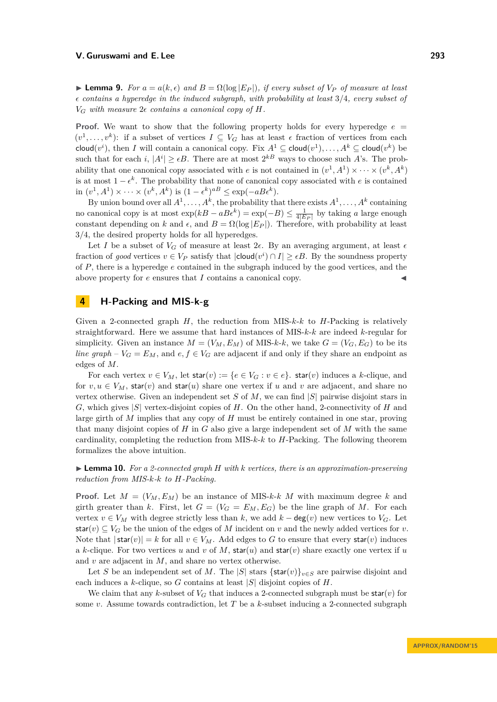<span id="page-9-1"></span>**Example 9.** For  $a = a(k, \epsilon)$  and  $B = \Omega(\log |E_P|)$ , if every subset of  $V_P$  of measure at least  $\epsilon$  contains a hyperedge in the induced subgraph, with probability at least 3/4, every subset of  $V_G$  *with measure*  $2\epsilon$  *contains a canonical copy of H.* 

**Proof.** We want to show that the following property holds for every hyperedge  $e =$  $(v^1, \ldots, v^k)$ : if a subset of vertices  $I \subseteq V_G$  has at least  $\epsilon$  fraction of vertices from each cloud $(v^i)$ , then *I* will contain a canonical copy. Fix  $A^1 \subseteq$  cloud $(v^1)$ , ...,  $A^k \subseteq$  cloud $(v^k)$  be such that for each *i*,  $|A^i| \ge \epsilon B$ . There are at most  $2^{kB}$  ways to choose such A's. The probability that one canonical copy associated with *e* is not contained in  $(v^1, A^1) \times \cdots \times (v^k, A^k)$ is at most  $1 - \epsilon^k$ . The probability that none of canonical copy associated with *e* is contained  $\text{Im}(v^1, A^1) \times \cdots \times (v^k, A^k) \text{ is } (1 - \epsilon^k)^{a} \leq \exp(-a B \epsilon^k).$ 

By union bound over all  $A^1, \ldots, A^k$ , the probability that there exists  $A^1, \ldots, A^k$  containing no canonical copy is at most  $\exp(kB - aBe^k) = \exp(-B) \le \frac{1}{4|E_P|}$  by taking *a* large enough constant depending on *k* and  $\epsilon$ , and  $B = \Omega(\log |E_P|)$ . Therefore, with probability at least 3*/*4, the desired property holds for all hyperedges.

Let *I* be a subset of  $V_G$  of measure at least 2 $\epsilon$ . By an averaging argument, at least  $\epsilon$ fraction of *good* vertices  $v \in V_P$  satisfy that  $|cloud(v^i) \cap I| \ge \epsilon B$ . By the soundness property of *P*, there is a hyperedge *e* contained in the subgraph induced by the good vertices, and the above property for  $e$  ensures that  $I$  contains a canonical copy.

# <span id="page-9-0"></span>**4 H-Packing and MIS-k-g**

Given a 2-connected graph *H*, the reduction from MIS-*k*-*k* to *H*-Packing is relatively straightforward. Here we assume that hard instances of MIS-*k*-*k* are indeed *k*-regular for simplicity. Given an instance  $M = (V_M, E_M)$  of MIS-*k*-*k*, we take  $G = (V_G, E_G)$  to be its *line graph* –  $V_G = E_M$ , and  $e, f \in V_G$  are adjacent if and only if they share an endpoint as edges of *M*.

For each vertex  $v \in V_M$ , let  $\text{star}(v) := \{e \in V_G : v \in e\}$ .  $\text{star}(v)$  induces a *k*-clique, and for  $v, u \in V_M$ , star(*v*) and star(*u*) share one vertex if *u* and *v* are adjacent, and share no vertex otherwise. Given an independent set *S* of *M*, we can find |*S*| pairwise disjoint stars in *G*, which gives |*S*| vertex-disjoint copies of *H*. On the other hand, 2-connectivity of *H* and large girth of *M* implies that any copy of *H* must be entirely contained in one star, proving that many disjoint copies of *H* in *G* also give a large independent set of *M* with the same cardinality, completing the reduction from MIS-*k*-*k* to *H*-Packing. The following theorem formalizes the above intuition.

# I **Lemma 10.** *For a 2-connected graph H with k vertices, there is an approximation-preserving reduction from MIS-k-k to H-Packing.*

**Proof.** Let  $M = (V_M, E_M)$  be an instance of MIS-*k*-*k M* with maximum degree *k* and girth greater than *k*. First, let  $G = (V_G = E_M, E_G)$  be the line graph of M. For each vertex  $v \in V_M$  with degree strictly less than  $k$ , we add  $k - \deg(v)$  new vertices to  $V_G$ . Let star(*v*)  $\subseteq V_G$  be the union of the edges of *M* incident on *v* and the newly added vertices for *v*. Note that  $|\text{star}(v)| = k$  for all  $v \in V_M$ . Add edges to G to ensure that every star(*v*) induces a *k*-clique. For two vertices *u* and *v* of *M*, star(*u*) and star(*v*) share exactly one vertex if *u* and *v* are adjacent in *M*, and share no vertex otherwise.

Let *S* be an independent set of *M*. The |*S*| stars {star(*v*)}<sub>*v*∈*S*</sub> are pairwise disjoint and each induces a *k*-clique, so *G* contains at least |*S*| disjoint copies of *H*.

We claim that any *k*-subset of  $V_G$  that induces a 2-connected subgraph must be star(*v*) for some *v*. Assume towards contradiction, let *T* be a *k*-subset inducing a 2-connected subgraph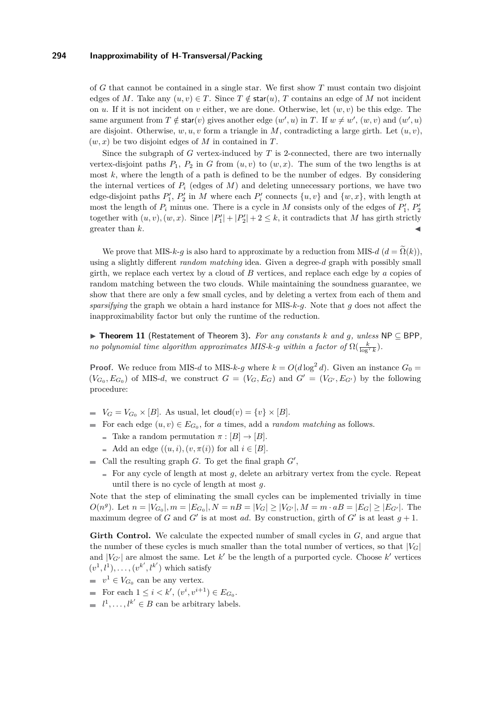of *G* that cannot be contained in a single star. We first show *T* must contain two disjoint edges of *M*. Take any  $(u, v) \in T$ . Since  $T \notin \text{star}(u)$ , *T* contains an edge of *M* not incident on *u*. If it is not incident on *v* either, we are done. Otherwise, let  $(w, v)$  be this edge. The same argument from  $T \notin \text{star}(v)$  gives another edge  $(w', u)$  in  $T$ . If  $w \neq w'$ ,  $(w, v)$  and  $(w', u)$ are disjoint. Otherwise,  $w, u, v$  form a triangle in M, contradicting a large girth. Let  $(u, v)$ ,  $(w, x)$  be two disjoint edges of *M* in contained in *T*.

Since the subgraph of *G* vertex-induced by *T* is 2-connected, there are two internally vertex-disjoint paths  $P_1$ ,  $P_2$  in *G* from  $(u, v)$  to  $(w, x)$ . The sum of the two lengths is at most *k*, where the length of a path is defined to be the number of edges. By considering the internal vertices of  $P_i$  (edges of  $M$ ) and deleting unnecessary portions, we have two edge-disjoint paths  $P'_1$ ,  $P'_2$  in *M* where each  $P'_i$  connects  $\{u, v\}$  and  $\{w, x\}$ , with length at most the length of  $P_i$  minus one. There is a cycle in  $M$  consists only of the edges of  $P'_1$ ,  $P'_2$ together with  $(u, v)$ ,  $(w, x)$ . Since  $|P'_1| + |P'_2| + 2 \le k$ , it contradicts that *M* has girth strictly greater than *k*.

We prove that MIS-*k*-*g* is also hard to approximate by a reduction from MIS-*d* ( $d = \tilde{\Omega}(k)$ ), using a slightly different *random matching* idea. Given a degree-*d* graph with possibly small girth, we replace each vertex by a cloud of *B* vertices, and replace each edge by *a* copies of random matching between the two clouds. While maintaining the soundness guarantee, we show that there are only a few small cycles, and by deleting a vertex from each of them and *sparsifying* the graph we obtain a hard instance for MIS-*k*-*g*. Note that *g* does not affect the inapproximability factor but only the runtime of the reduction.

I **Theorem 11** (Restatement of Theorem [3\)](#page-2-0)**.** *For any constants k and g, unless* NP ⊆ BPP*, no polynomial time algorithm approximates MIS-* $k$ *-* $g$  *within a factor of*  $\Omega(\frac{k}{\log^7 k})$ .

**Proof.** We reduce from MIS-*d* to MIS-*k*-*g* where  $k = O(d \log^2 d)$ . Given an instance  $G_0 =$  $(V_{G_0}, E_{G_0})$  of MIS-*d*, we construct  $G = (V_G, E_G)$  and  $G' = (V_{G'}, E_{G'})$  by the following procedure:

- $V_G = V_{G_0} \times [B]$ . As usual, let cloud $(v) = \{v\} \times [B]$ .
- For each edge  $(u, v) \in E_{G_0}$ , for *a* times, add a *random matching* as follows.
	- Take a random permutation  $\pi : [B] \to [B]$ .
	- Add an edge  $((u, i), (v, \pi(i))$  for all  $i \in [B]$ .
- Call the resulting graph  $G$ . To get the final graph  $G'$ ,
	- $\blacksquare$  For any cycle of length at most  $g$ , delete an arbitrary vertex from the cycle. Repeat until there is no cycle of length at most *g*.

Note that the step of eliminating the small cycles can be implemented trivially in time  $O(n^g)$ . Let  $n = |V_{G_0}|, m = |E_{G_0}|, N = nB = |V_G| \ge |V_{G'}|, M = m \cdot aB = |E_G| \ge |E_{G'}|$ . The maximum degree of *G* and *G'* is at most *ad*. By construction, girth of *G'* is at least  $g + 1$ .

**Girth Control.** We calculate the expected number of small cycles in *G*, and argue that the number of these cycles is much smaller than the total number of vertices, so that  $|V_G|$ and  $|V_{G'}|$  are almost the same. Let  $k'$  be the length of a purported cycle. Choose  $k'$  vertices  $(v^1, l^1), \ldots, (v^{k'}, l^{k'})$  which satisfy

- $v^1 \in V_{G_0}$  can be any vertex.
- For each  $1 \leq i \leq k'$ ,  $(v^i, v^{i+1}) \in E_{G_0}$ .
- $l^1, \ldots, l^{k'} \in B$  can be arbitrary labels.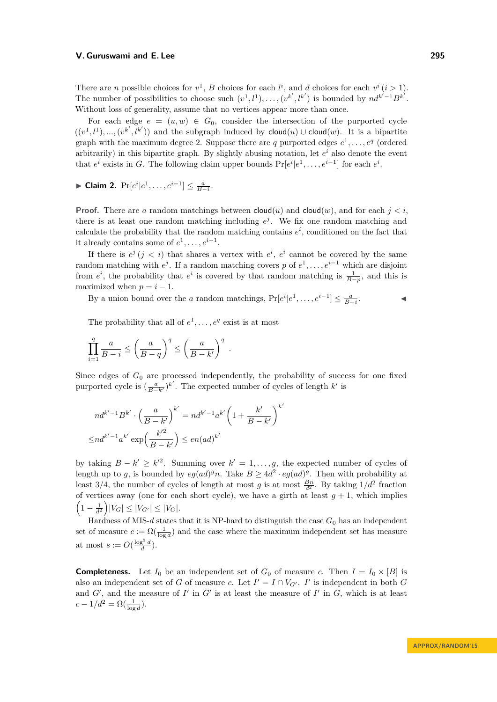There are *n* possible choices for  $v^1$ , *B* choices for each  $l^i$ , and *d* choices for each  $v^i$  (*i* > 1). The number of possibilities to choose such  $(v^1, l^1), \ldots, (v^{k'}, l^{k'})$  is bounded by  $n d^{k'-1} B^{k'}$ . Without loss of generality, assume that no vertices appear more than once.

For each edge  $e = (u, w) \in G_0$ , consider the intersection of the purported cycle  $((v^1, l^1), ..., (v^{k'}, l^{k'}))$  and the subgraph induced by cloud(*u*) ∪ cloud(*w*). It is a bipartite graph with the maximum degree 2. Suppose there are q purported edges  $e^1, \ldots, e^q$  (ordered arbitrarily) in this bipartite graph. By slightly abusing notation, let *e <sup>i</sup>* also denote the event that  $e^i$  exists in *G*. The following claim upper bounds  $Pr[e^i|e^1, \ldots, e^{i-1}]$  for each  $e^i$ .

► Claim 2.  $Pr[e^{i}|e^{1}, \ldots, e^{i-1}] \leq \frac{a}{B-i}$ .

**Proof.** There are *a* random matchings between  $\text{cloud}(u)$  and  $\text{cloud}(w)$ , and for each  $j < i$ . there is at least one random matching including  $e^j$ . We fix one random matching and calculate the probability that the random matching contains  $e^i$ , conditioned on the fact that it already contains some of  $e^1, \ldots, e^{i-1}$ .

If there is  $e^j$  ( $j < i$ ) that shares a vertex with  $e^i$ ,  $e^i$  cannot be covered by the same random matching with  $e^j$ . If a random matching covers p of  $e^1, \ldots, e^{i-1}$  which are disjoint from  $e^i$ , the probability that  $e^i$  is covered by that random matching is  $\frac{1}{B-p}$ , and this is maximized when  $p = i - 1$ .

By a union bound over the *a* random matchings,  $Pr[e^{i}|e^{1},...,e^{i-1}] \le \frac{a}{B-i}$  $\mathbf{I}$   $\mathbf{I}$   $\mathbf{I}$ 

The probability that all of  $e^1, \ldots, e^q$  exist is at most

$$
\prod_{i=1}^q \frac{a}{B-i} \le \left(\frac{a}{B-q}\right)^q \le \left(\frac{a}{B-k'}\right)^q.
$$

Since edges of  $G_0$  are processed independently, the probability of success for one fixed purported cycle is  $\left(\frac{a}{B-k'}\right)^{k'}$ . The expected number of cycles of length  $k'$  is

$$
nd^{k'-1}B^{k'} \cdot \left(\frac{a}{B-k'}\right)^{k'} = nd^{k'-1}a^{k'}\left(1 + \frac{k'}{B-k'}\right)^{k'}
$$

$$
\leq nd^{k'-1}a^{k'}\exp\left(\frac{k'^2}{B-k'}\right) \leq en(ad)^{k'}
$$

by taking  $B - k' \geq k'^2$ . Summing over  $k' = 1, \ldots, g$ , the expected number of cycles of length up to *g*, is bounded by  $eg(ad)^{g}n$ . Take  $B \geq 4d^2 \cdot eg(ad)^{g}$ . Then with probability at least 3/4, the number of cycles of length at most  $g$  is at most  $\frac{Bn}{d^2}$ . By taking  $1/d^2$  fraction of vertices away (one for each short cycle), we have a girth at least  $g + 1$ , which implies  $(1 - \frac{1}{d^2}) |V_G| \leq |V_{G'}| \leq |V_G|$ .

Hardness of MIS- $d$  states that it is NP-hard to distinguish the case  $G_0$  has an independent set of measure  $c := \Omega(\frac{1}{\log d})$  and the case where the maximum independent set has measure at most  $s := O(\frac{\log^3 d}{d})$ .

**Completeness.** Let  $I_0$  be an independent set of  $G_0$  of measure *c*. Then  $I = I_0 \times [B]$  is also an independent set of *G* of measure *c*. Let  $I' = I \cap V_{G'}$ . *I*' is independent in both *G* and  $G'$ , and the measure of  $I'$  in  $G'$  is at least the measure of  $I'$  in  $G$ , which is at least  $c - 1/d^2 = \Omega(\frac{1}{\log d}).$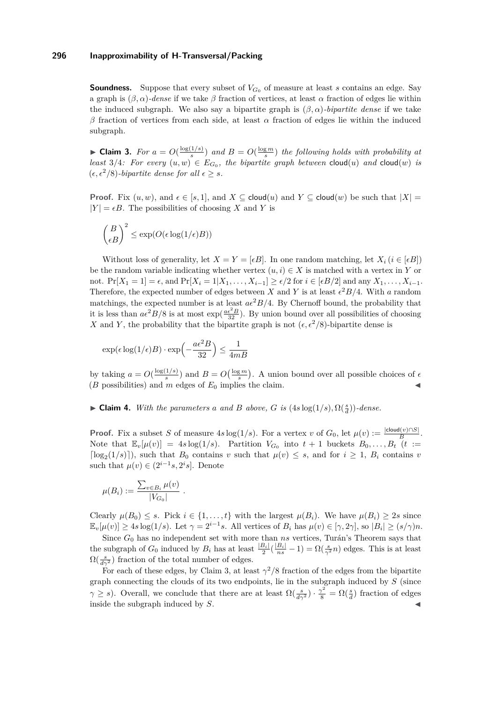**Soundness.** Suppose that every subset of  $V_{G_0}$  of measure at least *s* contains an edge. Say a graph is  $(\beta, \alpha)$ *-dense* if we take  $\beta$  fraction of vertices, at least  $\alpha$  fraction of edges lie within the induced subgraph. We also say a bipartite graph is  $(\beta, \alpha)$ *-bipartite dense* if we take *β* fraction of vertices from each side, at least *α* fraction of edges lie within the induced subgraph.

<span id="page-12-0"></span>**Claim 3.** *For*  $a = O(\frac{\log(1/s)}{s})$  $\frac{f(1/s)}{s}$  *and*  $B = O(\frac{\log m}{s})$  *the following holds with probability at least* 3/4*:* For every  $(u, w) \in E_{G_0}$ , the bipartite graph between cloud $(u)$  and cloud $(w)$  is  $(\epsilon, \epsilon^2/8)$ -bipartite dense for all  $\epsilon \geq s$ .

**Proof.** Fix  $(u, w)$ , and  $\epsilon \in [s, 1]$ , and  $X \subseteq \text{cloud}(u)$  and  $Y \subseteq \text{cloud}(w)$  be such that  $|X| =$  $|Y| = \epsilon B$ . The possibilities of choosing X and Y is

$$
\binom{B}{\epsilon B}^2 \leq \exp(O(\epsilon \log(1/\epsilon) B))
$$

Without loss of generality, let  $X = Y = [\epsilon B]$ . In one random matching, let  $X_i$  ( $i \in [\epsilon B]$ ) be the random variable indicating whether vertex  $(u, i) \in X$  is matched with a vertex in *Y* or not. Pr[*X*<sub>1</sub> = 1] =  $\epsilon$ , and Pr[*X*<sub>i</sub> = 1|*X*<sub>1</sub>*, . . . , X*<sub>*i*-1</sub>] ≥  $\epsilon/2$  for  $i \in [\epsilon B/2]$  and any *X*<sub>1</sub>*, . . . , X*<sub>*i*-1</sub>. Therefore, the expected number of edges between *X* and *Y* is at least  $\epsilon^2 B/4$ . With *a* random matchings, the expected number is at least  $a\epsilon^2 B/4$ . By Chernoff bound, the probability that it is less than  $a\epsilon^2 B/8$  is at most  $\exp(\frac{a\epsilon^2 B}{32})$ . By union bound over all possibilities of choosing *X* and *Y*, the probability that the bipartite graph is not  $(\epsilon, \epsilon^2/8)$ -bipartite dense is

$$
\exp(\epsilon\log(1/\epsilon)B)\cdot\exp\Bigl(-\frac{a\epsilon^2B}{32}\Bigr)\leq\frac{1}{4mB}
$$

by taking  $a = O(\frac{\log(1/s)}{s})$  $\frac{f(1/s)}{s}$  and  $B = O\left(\frac{\log m}{s}\right)$ . A union bound over all possible choices of  $\epsilon$  $(B \text{ possibilities})$  and  $\overline{m}$  edges of  $E_0$  implies the claim.

# ► **Claim 4.** *With the parameters a and B above, G is* ( $4s \log(1/s), \Omega(\frac{s}{d})$ )*-dense.*

**Proof.** Fix a subset *S* of measure  $4s \log(1/s)$ . For a vertex *v* of  $G_0$ , let  $\mu(v) := \frac{|\text{cloud}(v) \cap S|}{B}$ . Note that  $\mathbb{E}_v[\mu(v)] = 4s \log(1/s)$ . Partition  $V_{G_0}$  into  $t+1$  buckets  $B_0, \ldots, B_t$   $(t)$  :=  $\log_2(1/s)$ , such that *B*<sub>0</sub> contains *v* such that  $\mu(v) \leq s$ , and for  $i \geq 1$ , *B<sub>i</sub>* contains *v* such that  $\mu(v) \in (2^{i-1}s, 2^is]$ . Denote

$$
\mu(B_i) := \frac{\sum_{v \in B_i} \mu(v)}{|V_{G_0}|}.
$$

Clearly  $\mu(B_0) \leq s$ . Pick  $i \in \{1, \ldots, t\}$  with the largest  $\mu(B_i)$ . We have  $\mu(B_i) \geq 2s$  since  $\mathbb{E}_v[\mu(v)] \geq 4s \log(1/s)$ . Let  $\gamma = 2^{i-1}s$ . All vertices of  $B_i$  has  $\mu(v) \in [\gamma, 2\gamma]$ , so  $|B_i| \geq (s/\gamma)n$ .

Since *G*<sup>0</sup> has no independent set with more than *ns* vertices, Turán's Theorem says that the subgraph of  $G_0$  induced by  $B_i$  has at least  $\frac{|B_i|}{2}(\frac{|B_i|}{ns} - 1) = \Omega(\frac{s}{\gamma^2}n)$  edges. This is at least  $\Omega(\frac{s}{d\gamma^2})$  fraction of the total number of edges.

For each of these edges, by Claim [3,](#page-12-0) at least  $\gamma^2/8$  fraction of the edges from the bipartite graph connecting the clouds of its two endpoints, lie in the subgraph induced by *S* (since *γ*  $\geq$  *s*). Overall, we conclude that there are at least  $\Omega(\frac{s}{d\gamma^2}) \cdot \frac{\gamma^2}{8} = \Omega(\frac{s}{d})$  fraction of edges inside the subgraph induced by *S*.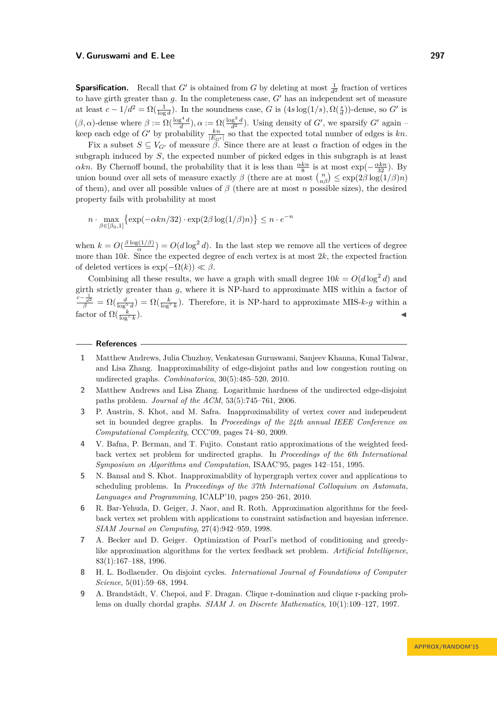**Sparsification.** Recall that *G'* is obtained from *G* by deleting at most  $\frac{1}{d^2}$  fraction of vertices to have girth greater than  $g$ . In the completeness case,  $G'$  has an independent set of measure at least  $c - 1/d^2 = \Omega(\frac{1}{\log d})$ . In the soundness case, *G* is  $(4s \log(1/s), \Omega(\frac{s}{d}))$ -dense, so *G'* is  $(\beta, \alpha)$ -dense where  $\beta := \Omega(\frac{\log^4 d}{d})$ ,  $\alpha := \Omega(\frac{\log^3 d}{d^2})$ . Using density of *G'*, we sparsify *G'* again – keep each edge of *G*<sup> $\prime$ </sup> by probability  $\frac{kn}{|E_{G'}|}$  so that the expected total number of edges is  $kn$ .

Fix a subset  $S \subseteq V_{G'}$  of measure  $\beta$ . Since there are at least  $\alpha$  fraction of edges in the subgraph induced by *S*, the expected number of picked edges in this subgraph is at least *αkn*. By Chernoff bound, the probability that it is less than  $\frac{\alpha k n}{8}$  is at most  $\exp(-\frac{\alpha k n}{32})$ . By union bound over all sets of measure exactly  $\beta$  (there are at most  $\binom{n}{n\beta} \leq \exp(2\beta \log(1/\beta)n)$ of them), and over all possible values of *β* (there are at most *n* possible sizes), the desired property fails with probability at most

$$
n \cdot \max_{\beta \in [\beta_0, 1]} \{ \exp(-\alpha k n/32) \cdot \exp(2\beta \log(1/\beta)n) \} \le n \cdot e^{-n}
$$

when  $k = O(\frac{\beta \log(1/\beta)}{\alpha})$  $\frac{a(1/\beta)}{\alpha}$  =  $O(d \log^2 d)$ . In the last step we remove all the vertices of degree more than 10*k*. Since the expected degree of each vertex is at most 2*k*, the expected fraction of deleted vertices is  $\exp(-\Omega(k)) \ll \beta$ .

Combining all these results, we have a graph with small degree  $10k = O(d \log^2 d)$  and girth strictly greater than *g*, where it is NP-hard to approximate MIS within a factor of  $\frac{c-\frac{1}{d^2}}{\beta} = \Omega(\frac{d}{\log^5 d}) = \Omega(\frac{k}{\log^7 k})$ . Therefore, it is NP-hard to approximate MIS-*k*-*g* within a factor of  $\Omega(\frac{k}{\log^7 k})$  $\blacksquare$ ).

### **References**

- <span id="page-13-8"></span>**1** Matthew Andrews, Julia Chuzhoy, Venkatesan Guruswami, Sanjeev Khanna, Kunal Talwar, and Lisa Zhang. Inapproximability of edge-disjoint paths and low congestion routing on undirected graphs. *Combinatorica*, 30(5):485–520, 2010.
- <span id="page-13-7"></span>**2** Matthew Andrews and Lisa Zhang. Logarithmic hardness of the undirected edge-disjoint paths problem. *Journal of the ACM*, 53(5):745–761, 2006.
- <span id="page-13-0"></span>**3** P. Austrin, S. Khot, and M. Safra. Inapproximability of vertex cover and independent set in bounded degree graphs. In *Proceedings of the 24th annual IEEE Conference on Computational Complexity*, CCC'09, pages 74–80, 2009.
- <span id="page-13-3"></span>**4** V. Bafna, P. Berman, and T. Fujito. Constant ratio approximations of the weighted feedback vertex set problem for undirected graphs. In *Proceedings of the 6th International Symposium on Algorithms and Computation*, ISAAC'95, pages 142–151, 1995.
- <span id="page-13-1"></span>**5** N. Bansal and S. Khot. Inapproximability of hypergraph vertex cover and applications to scheduling problems. In *Proceedings of the 37th International Colloquium on Automata, Languages and Programming*, ICALP'10, pages 250–261, 2010.
- <span id="page-13-5"></span>**6** R. Bar-Yehuda, D. Geiger, J. Naor, and R. Roth. Approximation algorithms for the feedback vertex set problem with applications to constraint satisfaction and bayesian inference. *SIAM Journal on Computing*, 27(4):942–959, 1998.
- <span id="page-13-4"></span>**7** A. Becker and D. Geiger. Optimization of Pearl's method of conditioning and greedylike approximation algorithms for the vertex feedback set problem. *Artificial Intelligence*, 83(1):167–188, 1996.
- <span id="page-13-2"></span>**8** H. L. Bodlaender. On disjoint cycles. *International Journal of Foundations of Computer Science*, 5(01):59–68, 1994.
- <span id="page-13-6"></span>**9** A. Brandstädt, V. Chepoi, and F. Dragan. Clique r-domination and clique r-packing problems on dually chordal graphs. *SIAM J. on Discrete Mathematics*, 10(1):109–127, 1997.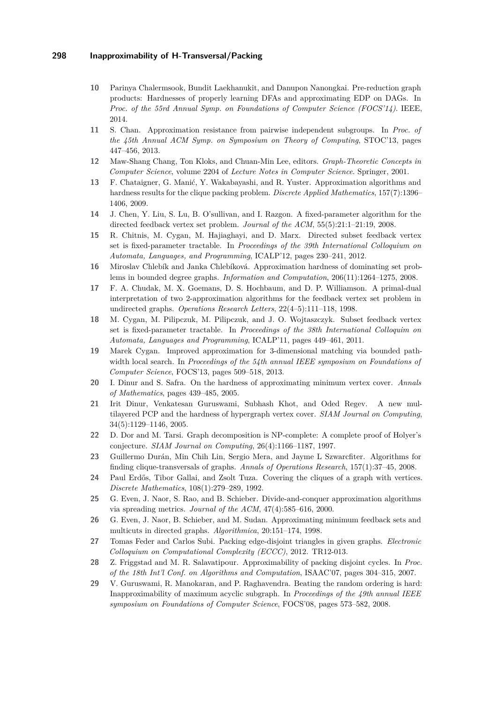- <span id="page-14-13"></span>**10** Parinya Chalermsook, Bundit Laekhanukit, and Danupon Nanongkai. Pre-reduction graph products: Hardnesses of properly learning DFAs and approximating EDP on DAGs. In *Proc. of the 55rd Annual Symp. on Foundations of Computer Science (FOCS'14)*. IEEE, 2014.
- <span id="page-14-3"></span>**11** S. Chan. Approximation resistance from pairwise independent subgroups. In *Proc. of the 45th Annual ACM Symp. on Symposium on Theory of Computing*, STOC'13, pages 447–456, 2013.
- <span id="page-14-15"></span>**12** Maw-Shang Chang, Ton Kloks, and Chuan-Min Lee, editors. *Graph-Theoretic Concepts in Computer Science*, volume 2204 of *Lecture Notes in Computer Science*. Springer, 2001.
- <span id="page-14-19"></span>**13** F. Chataigner, G. Manić, Y. Wakabayashi, and R. Yuster. Approximation algorithms and hardness results for the clique packing problem. *Discrete Applied Mathematics*, 157(7):1396– 1406, 2009.
- <span id="page-14-4"></span>**14** J. Chen, Y. Liu, S. Lu, B. O'sullivan, and I. Razgon. A fixed-parameter algorithm for the directed feedback vertex set problem. *Journal of the ACM*, 55(5):21:1–21:19, 2008.
- <span id="page-14-6"></span>**15** R. Chitnis, M. Cygan, M. Hajiaghayi, and D. Marx. Directed subset feedback vertex set is fixed-parameter tractable. In *Proceedings of the 39th International Colloquium on Automata, Languages, and Programming*, ICALP'12, pages 230–241, 2012.
- <span id="page-14-2"></span>**16** Miroslav Chlebík and Janka Chlebíková. Approximation hardness of dominating set problems in bounded degree graphs. *Information and Computation*, 206(11):1264–1275, 2008.
- <span id="page-14-7"></span>**17** F. A. Chudak, M. X. Goemans, D. S. Hochbaum, and D. P. Williamson. A primal-dual interpretation of two 2-approximation algorithms for the feedback vertex set problem in undirected graphs. *Operations Research Letters*, 22(4–5):111–118, 1998.
- <span id="page-14-5"></span>**18** M. Cygan, M. Pilipczuk, M. Pilipczuk, and J. O. Wojtaszczyk. Subset feedback vertex set is fixed-parameter tractable. In *Proceedings of the 38th International Colloquim on Automata, Languages and Programming*, ICALP'11, pages 449–461, 2011.
- <span id="page-14-17"></span>**19** Marek Cygan. Improved approximation for 3-dimensional matching via bounded pathwidth local search. In *Proceedings of the 54th annual IEEE symposium on Foundations of Computer Science*, FOCS'13, pages 509–518, 2013.
- <span id="page-14-10"></span>**20** I. Dinur and S. Safra. On the hardness of approximating minimum vertex cover. *Annals of Mathematics*, pages 439–485, 2005.
- <span id="page-14-0"></span>**21** Irit Dinur, Venkatesan Guruswami, Subhash Khot, and Oded Regev. A new multilayered PCP and the hardness of hypergraph vertex cover. *SIAM Journal on Computing*, 34(5):1129–1146, 2005.
- <span id="page-14-1"></span>**22** D. Dor and M. Tarsi. Graph decomposition is NP-complete: A complete proof of Holyer's conjecture. *SIAM Journal on Computing*, 26(4):1166–1187, 1997.
- <span id="page-14-16"></span>**23** Guillermo Durán, Min Chih Lin, Sergio Mera, and Jayme L Szwarcfiter. Algorithms for finding clique-transversals of graphs. *Annals of Operations Research*, 157(1):37–45, 2008.
- <span id="page-14-14"></span>**24** Paul Erdős, Tibor Gallai, and Zsolt Tuza. Covering the cliques of a graph with vertices. *Discrete Mathematics*, 108(1):279–289, 1992.
- <span id="page-14-9"></span>**25** G. Even, J. Naor, S. Rao, and B. Schieber. Divide-and-conquer approximation algorithms via spreading metrics. *Journal of the ACM*, 47(4):585–616, 2000.
- <span id="page-14-8"></span>**26** G. Even, J. Naor, B. Schieber, and M. Sudan. Approximating minimum feedback sets and multicuts in directed graphs. *Algorithmica*, 20:151–174, 1998.
- <span id="page-14-18"></span>**27** Tomas Feder and Carlos Subi. Packing edge-disjoint triangles in given graphs. *Electronic Colloquium on Computational Complexity (ECCC)*, 2012. TR12-013.
- <span id="page-14-12"></span>**28** Z. Friggstad and M. R. Salavatipour. Approximability of packing disjoint cycles. In *Proc. of the 18th Int'l Conf. on Algorithms and Computation*, ISAAC'07, pages 304–315, 2007.
- <span id="page-14-11"></span>**29** V. Guruswami, R. Manokaran, and P. Raghavendra. Beating the random ordering is hard: Inapproximability of maximum acyclic subgraph. In *Proceedings of the 49th annual IEEE symposium on Foundations of Computer Science*, FOCS'08, pages 573–582, 2008.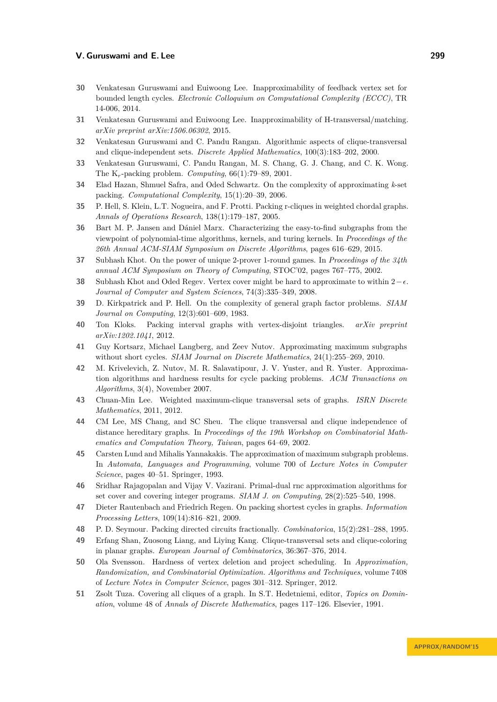- <span id="page-15-3"></span>**30** Venkatesan Guruswami and Euiwoong Lee. Inapproximability of feedback vertex set for bounded length cycles. *Electronic Colloquium on Computational Complexity (ECCC)*, TR 14-006, 2014.
- <span id="page-15-9"></span>**31** Venkatesan Guruswami and Euiwoong Lee. Inapproximability of H-transversal/matching. *arXiv preprint arXiv:1506.06302*, 2015.
- <span id="page-15-15"></span>**32** Venkatesan Guruswami and C. Pandu Rangan. Algorithmic aspects of clique-transversal and clique-independent sets. *Discrete Applied Mathematics*, 100(3):183–202, 2000.
- <span id="page-15-18"></span>**33** Venkatesan Guruswami, C. Pandu Rangan, M. S. Chang, G. J. Chang, and C. K. Wong. The K*r*-packing problem. *Computing*, 66(1):79–89, 2001.
- <span id="page-15-0"></span>**34** Elad Hazan, Shmuel Safra, and Oded Schwartz. On the complexity of approximating *k*-set packing. *Computational Complexity*, 15(1):20–39, 2006.
- <span id="page-15-19"></span>**35** P. Hell, S. Klein, L.T. Nogueira, and F. Protti. Packing r-cliques in weighted chordal graphs. *Annals of Operations Research*, 138(1):179–187, 2005.
- <span id="page-15-5"></span>**36** Bart M. P. Jansen and Dániel Marx. Characterizing the easy-to-find subgraphs from the viewpoint of polynomial-time algorithms, kernels, and turing kernels. In *Proceedings of the 26th Annual ACM-SIAM Symposium on Discrete Algorithms*, pages 616–629, 2015.
- <span id="page-15-7"></span>**37** Subhash Khot. On the power of unique 2-prover 1-round games. In *Proceedings of the 34th annual ACM Symposium on Theory of Computing*, STOC'02, pages 767–775, 2002.
- <span id="page-15-2"></span>**38** Subhash Khot and Oded Regev. Vertex cover might be hard to approximate to within  $2-\epsilon$ . *Journal of Computer and System Sciences*, 74(3):335–349, 2008.
- <span id="page-15-1"></span>**39** D. Kirkpatrick and P. Hell. On the complexity of general graph factor problems. *SIAM Journal on Computing*, 12(3):601–609, 1983.
- <span id="page-15-20"></span>**40** Ton Kloks. Packing interval graphs with vertex-disjoint triangles. *arXiv preprint arXiv:1202.1041*, 2012.
- <span id="page-15-10"></span>**41** Guy Kortsarz, Michael Langberg, and Zeev Nutov. Approximating maximum subgraphs without short cycles. *SIAM Journal on Discrete Mathematics*, 24(1):255–269, 2010.
- <span id="page-15-11"></span>**42** M. Krivelevich, Z. Nutov, M. R. Salavatipour, J. V. Yuster, and R. Yuster. Approximation algorithms and hardness results for cycle packing problems. *ACM Transactions on Algorithms*, 3(4), November 2007.
- <span id="page-15-17"></span>**43** Chuan-Min Lee. Weighted maximum-clique transversal sets of graphs. *ISRN Discrete Mathematics*, 2011, 2012.
- <span id="page-15-16"></span>**44** CM Lee, MS Chang, and SC Sheu. The clique transversal and clique independence of distance hereditary graphs. In *Proceedings of the 19th Workshop on Combinatorial Mathematics and Computation Theory, Taiwan*, pages 64–69, 2002.
- <span id="page-15-4"></span>**45** Carsten Lund and Mihalis Yannakakis. The approximation of maximum subgraph problems. In *Automata, Languages and Programming*, volume 700 of *Lecture Notes in Computer Science*, pages 40–51. Springer, 1993.
- <span id="page-15-21"></span>**46** Sridhar Rajagopalan and Vijay V. Vazirani. Primal-dual rnc approximation algorithms for set cover and covering integer programs. *SIAM J. on Computing*, 28(2):525–540, 1998.
- <span id="page-15-12"></span>**47** Dieter Rautenbach and Friedrich Regen. On packing shortest cycles in graphs. *Information Processing Letters*, 109(14):816–821, 2009.
- <span id="page-15-6"></span>**48** P. D. Seymour. Packing directed circuits fractionally. *Combinatorica*, 15(2):281–288, 1995.
- <span id="page-15-14"></span>**49** Erfang Shan, Zuosong Liang, and Liying Kang. Clique-transversal sets and clique-coloring in planar graphs. *European Journal of Combinatorics*, 36:367–376, 2014.
- <span id="page-15-8"></span>**50** Ola Svensson. Hardness of vertex deletion and project scheduling. In *Approximation, Randomization, and Combinatorial Optimization. Algorithms and Techniques*, volume 7408 of *Lecture Notes in Computer Science*, pages 301–312. Springer, 2012.
- <span id="page-15-13"></span>**51** Zsolt Tuza. Covering all cliques of a graph. In S.T. Hedetniemi, editor, *Topics on Domination*, volume 48 of *Annals of Discrete Mathematics*, pages 117–126. Elsevier, 1991.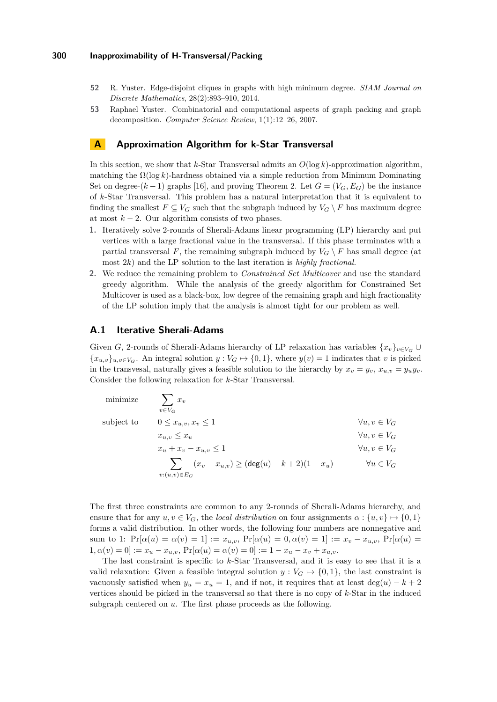- <span id="page-16-1"></span>**52** R. Yuster. Edge-disjoint cliques in graphs with high minimum degree. *SIAM Journal on Discrete Mathematics*, 28(2):893–910, 2014.
- <span id="page-16-2"></span>**53** Raphael Yuster. Combinatorial and computational aspects of graph packing and graph decomposition. *Computer Science Review*, 1(1):12–26, 2007.

# <span id="page-16-0"></span>**A Approximation Algorithm for k-Star Transversal**

In this section, we show that *k*-Star Transversal admits an *O*(log *k*)-approximation algorithm, matching the  $\Omega(\log k)$ -hardness obtained via a simple reduction from Minimum Dominating Set on degree- $(k-1)$  graphs [\[16\]](#page-14-2), and proving Theorem [2.](#page-1-1) Let  $G = (V_G, E_G)$  be the instance of *k*-Star Transversal. This problem has a natural interpretation that it is equivalent to finding the smallest  $F \subseteq V_G$  such that the subgraph induced by  $V_G \setminus F$  has maximum degree at most  $k - 2$ . Our algorithm consists of two phases.

- **1.** Iteratively solve 2-rounds of Sherali-Adams linear programming (LP) hierarchy and put vertices with a large fractional value in the transversal. If this phase terminates with a partial transversal F, the remaining subgraph induced by  $V_G \setminus F$  has small degree (at most 2*k*) and the LP solution to the last iteration is *highly fractional.*
- **2.** We reduce the remaining problem to *Constrained Set Multicover* and use the standard greedy algorithm. While the analysis of the greedy algorithm for Constrained Set Multicover is used as a black-box, low degree of the remaining graph and high fractionality of the LP solution imply that the analysis is almost tight for our problem as well.

# **A.1 Iterative Sherali-Adams**

Given *G*, 2-rounds of Sherali-Adams hierarchy of LP relaxation has variables  ${x_v}_{v \in V_G}$  ${x<sub>u,v</sub>}<sub>u,v\in V<sub>G</sub>}</sub>$ . An integral solution  $y: V<sub>G</sub> \mapsto \{0,1\}$ , where  $y(v) = 1$  indicates that *v* is picked in the transvesal, naturally gives a feasible solution to the hierarchy by  $x_v = y_v, x_{u,v} = y_u y_v$ . Consider the following relaxation for *k*-Star Transversal.

| minimize   | $\sum x_v$<br>$v \in V_G$                                                   |                        |
|------------|-----------------------------------------------------------------------------|------------------------|
| subject to | $0 \leq x_{u,v}, x_v \leq 1$                                                | $\forall u, v \in V_G$ |
|            | $x_{u,v} \leq x_u$                                                          | $\forall u, v \in V_G$ |
|            | $x_u + x_v - x_{u,v} \leq 1$                                                | $\forall u, v \in V_G$ |
|            | $\sum (x_v - x_{u,v}) \geq (\deg(u) - k + 2)(1 - x_u)$<br>$v:(u,v) \in E_G$ | $\forall u \in V_G$    |

The first three constraints are common to any 2-rounds of Sherali-Adams hierarchy, and ensure that for any  $u, v \in V_G$ , the *local distribution* on four assignments  $\alpha : \{u, v\} \mapsto \{0, 1\}$ forms a valid distribution. In other words, the following four numbers are nonnegative and sum to 1:  $Pr[\alpha(u) = \alpha(v) = 1] := x_{u,v}, Pr[\alpha(u) = 0, \alpha(v) = 1] := x_v - x_{u,v}, Pr[\alpha(u) = 0, \alpha(v) = 1]$  $1, \alpha(v) = 0$  :=  $x_u - x_{u,v}$ ,  $Pr[\alpha(u) = \alpha(v) = 0] := 1 - x_u - x_v + x_{u,v}$ .

The last constraint is specific to *k*-Star Transversal, and it is easy to see that it is a valid relaxation: Given a feasible integral solution  $y: V_G \mapsto \{0,1\}$ , the last constraint is vacuously satisfied when  $y_u = x_u = 1$ , and if not, it requires that at least deg(*u*) – *k* + 2 vertices should be picked in the transversal so that there is no copy of *k*-Star in the induced subgraph centered on *u*. The first phase proceeds as the following.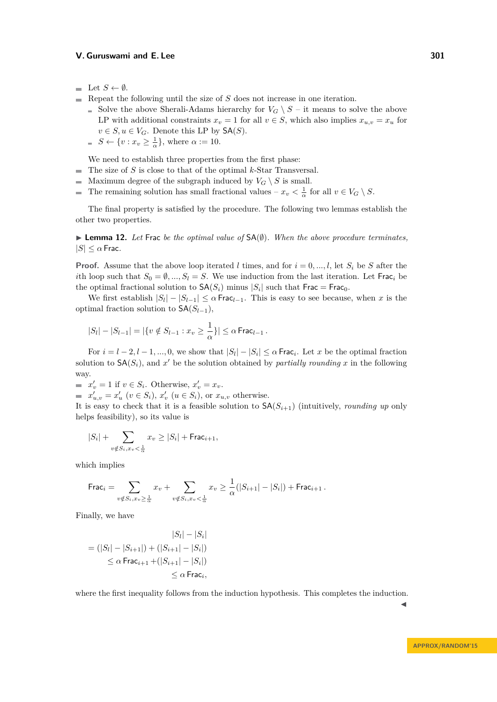- $\blacksquare$  Let *S* ← Ø.
- Repeat the following until the size of  $S$  does not increase in one iteration.
	- Solve the above Sherali-Adams hierarchy for  $V_G \setminus S$  it means to solve the above LP with additional constraints  $x_v = 1$  for all  $v \in S$ , which also implies  $x_{u,v} = x_u$  for  $v \in S, u \in V_G$ . Denote this LP by  $\mathsf{SA}(S)$ .
	- $S \leftarrow \{v : x_v \geq \frac{1}{\alpha}\}\text{, where } \alpha := 10.$

We need to establish three properties from the first phase:

- The size of *S* is close to that of the optimal *k*-Star Transversal.
- Maximum degree of the subgraph induced by  $V_G \setminus S$  is small.  $\sim$
- The remaining solution has small fractional values  $x_v < \frac{1}{\alpha}$  for all  $v \in V_G \setminus S$ .  $\mathbf{r}$

The final property is satisfied by the procedure. The following two lemmas establish the other two properties.

I **Lemma 12.** *Let* Frac *be the optimal value of* SA(∅)*. When the above procedure terminates,*  $|S| \leq \alpha$  Frac.

**Proof.** Assume that the above loop iterated *l* times, and for  $i = 0, ..., l$ , let  $S_i$  be *S* after the *i*th loop such that  $S_0 = \emptyset, ..., S_l = S$ . We use induction from the last iteration. Let Frac<sub>*i*</sub> be the optimal fractional solution to  $\mathsf{SA}(S_i)$  minus  $|S_i|$  such that  $\mathsf{Frac} = \mathsf{Frac}_0$ .

We first establish  $|S_l| - |S_{l-1}| \leq \alpha$  Frac<sub>*l*-1</sub>. This is easy to see because, when *x* is the optimal fraction solution to  $SA(S_{l-1})$ ,

$$
|S_l| - |S_{l-1}| = |\{v \notin S_{l-1} : x_v \ge \frac{1}{\alpha}\}| \le \alpha \operatorname{Frac}_{l-1}.
$$

For  $i = l - 2, l - 1, ..., 0$ , we show that  $|S_l| - |S_i| \leq \alpha$  Frac<sub>*i*</sub>. Let *x* be the optimal fraction solution to  $\mathsf{SA}(S_i)$ , and  $x'$  be the solution obtained by *partially rounding*  $x$  in the following way.

 $x'_v = 1$  if  $v \in S_i$ . Otherwise,  $x'_v = x_v$ .

 $x'_{u,v} = x'_u$  ( $v \in S_i$ ),  $x'_v$  ( $u \in S_i$ ), or  $x_{u,v}$  otherwise.

It is easy to check that it is a feasible solution to  $\mathsf{SA}(S_{i+1})$  (intuitively, *rounding up* only helps feasibility), so its value is

$$
|S_i| + \sum_{v \notin S_i, x_v < \frac{1}{\alpha}} x_v \ge |S_i| + \text{Frac}_{i+1},
$$

which implies

$$
\text{Frac}_{i} = \sum_{v \notin S_i, x_v \ge \frac{1}{\alpha}} x_v + \sum_{v \notin S_i, x_v < \frac{1}{\alpha}} x_v \ge \frac{1}{\alpha} (|S_{i+1}| - |S_i|) + \text{Frac}_{i+1}.
$$

Finally, we have

$$
|S_{l}| - |S_{i}|
$$
  
= (|S\_{l}| - |S\_{i+1}|) + (|S\_{i+1}| - |S\_{i}|)  

$$
\leq \alpha \operatorname{Frac}_{i+1} + (|S_{i+1}| - |S_{i}|)
$$
  

$$
\leq \alpha \operatorname{Frac}_{i},
$$

where the first inequality follows from the induction hypothesis. This completes the induction.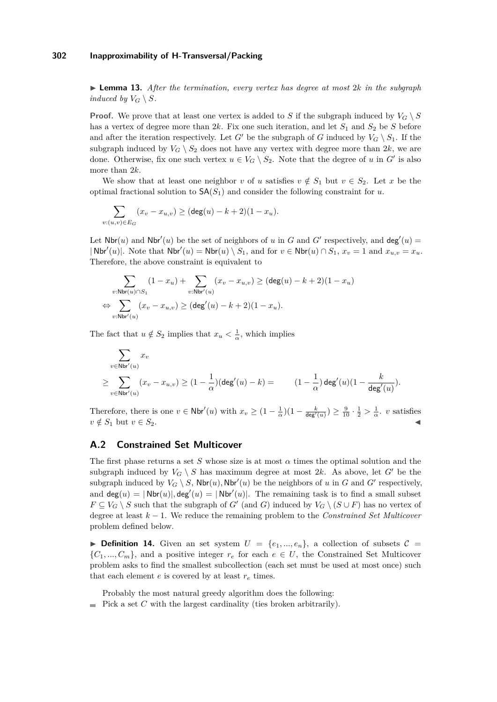$\triangleright$  **Lemma 13.** After the termination, every vertex has degree at most 2*k* in the subgraph *induced by*  $V_G \setminus S$ *.* 

**Proof.** We prove that at least one vertex is added to *S* if the subgraph induced by  $V_G \setminus S$ has a vertex of degree more than  $2k$ . Fix one such iteration, and let  $S_1$  and  $S_2$  be *S* before and after the iteration respectively. Let *G'* be the subgraph of *G* induced by  $V_G \setminus S_1$ . If the subgraph induced by  $V_G \setminus S_2$  does not have any vertex with degree more than 2*k*, we are done. Otherwise, fix one such vertex  $u \in V_G \setminus S_2$ . Note that the degree of *u* in G<sup>*i*</sup> is also more than 2*k*.

We show that at least one neighbor *v* of *u* satisfies  $v \notin S_1$  but  $v \in S_2$ . Let *x* be the optimal fractional solution to  $SA(S_1)$  and consider the following constraint for *u*.

$$
\sum_{v:(u,v)\in E_G} (x_v - x_{u,v}) \geq (\deg(u) - k + 2)(1 - x_u).
$$

Let  $\mathsf{Nbr}(u)$  and  $\mathsf{Nbr}'(u)$  be the set of neighbors of *u* in *G* and *G*<sup> $\prime$ </sup> respectively, and  $\mathsf{deg}'(u)$  $|\text{Nbr}'(u)|$ . Note that  $\text{Nbr}'(u) = \text{Nbr}(u) \setminus S_1$ , and for  $v \in \text{Nbr}(u) \cap S_1$ ,  $x_v = 1$  and  $x_{u,v} = x_u$ . Therefore, the above constraint is equivalent to

$$
\sum_{v:\text{Nbr}(u)\cap S_1}(1-x_u)+\sum_{v:\text{Nbr}'(u)}(x_v-x_{u,v})\geq (\deg(u)-k+2)(1-x_u)\\ \Leftrightarrow \sum_{v:\text{Nbr}'(u)}(x_v-x_{u,v})\geq (\deg'(u)-k+2)(1-x_u).
$$

The fact that  $u \notin S_2$  implies that  $x_u < \frac{1}{\alpha}$ , which implies

$$
\begin{aligned} &\sum_{v\in \mathsf{Nbr}'(u)} x_v \\ &\geq \sum_{v\in \mathsf{Nbr}'(u)} (x_v-x_{u,v}) \geq (1-\frac{1}{\alpha})(\mathsf{deg}'(u)-k)= \end{aligned} \qquad (1-\frac{1}{\alpha})\mathsf{deg}'(u)(1-\frac{k}{\mathsf{deg}'(u)}).
$$

Therefore, there is one  $v \in \text{Nbr}'(u)$  with  $x_v \geq (1 - \frac{1}{\alpha})(1 - \frac{k}{\text{deg}'(u)}) \geq \frac{9}{10} \cdot \frac{1}{2} > \frac{1}{\alpha}$ . *v* satisfies  $v \notin S_1$  but  $v \in S_2$ .

# **A.2 Constrained Set Multicover**

The first phase returns a set *S* whose size is at most *α* times the optimal solution and the subgraph induced by  $V_G \setminus S$  has maximum degree at most 2k. As above, let G' be the subgraph induced by  $V_G \setminus S$ ,  $\mathsf{Nbr}(u)$ ,  $\mathsf{Nbr}'(u)$  be the neighbors of *u* in *G* and *G*<sup>*n*</sup> respectively, and  $deg(u) = |\text{Nbr}(u)|$ ,  $deg'(u) = |\text{Nbr}'(u)|$ . The remaining task is to find a small subset  $F \subseteq V_G \setminus S$  such that the subgraph of *G*<sup> $\prime$ </sup> (and *G*) induced by  $V_G \setminus (S \cup F)$  has no vertex of degree at least *k* − 1. We reduce the remaining problem to the *Constrained Set Multicover* problem defined below.

**Definition 14.** Given an set system  $U = \{e_1, ..., e_n\}$ , a collection of subsets  $C =$  ${C_1, ..., C_m}$ , and a positive integer  $r_e$  for each  $e \in U$ , the Constrained Set Multicover problem asks to find the smallest subcollection (each set must be used at most once) such that each element  $e$  is covered by at least  $r_e$  times.

Probably the most natural greedy algorithm does the following:

Pick a set  $C$  with the largest cardinality (ties broken arbitrarily).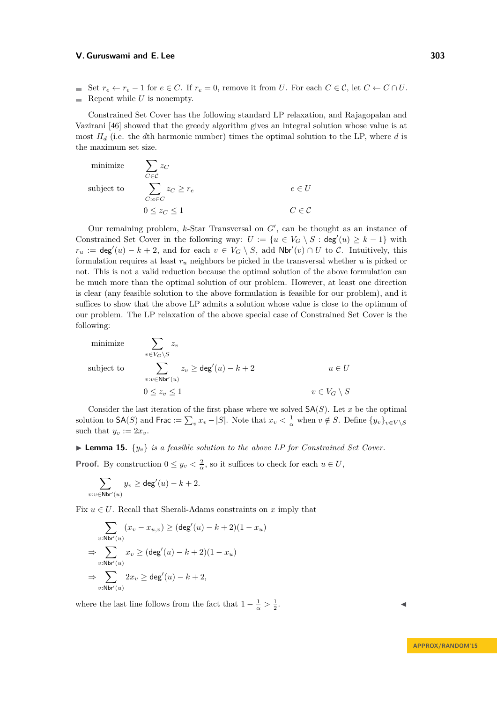■ Set  $r_e \leftarrow r_e - 1$  for  $e \in C$ . If  $r_e = 0$ , remove it from *U*. For each  $C \in \mathcal{C}$ , let  $C \leftarrow C \cap U$ . Repeat while  $U$  is nonempty.

Constrained Set Cover has the following standard LP relaxation, and Rajagopalan and Vazirani [\[46\]](#page-15-21) showed that the greedy algorithm gives an integral solution whose value is at most *H<sup>d</sup>* (i.e. the *d*th harmonic number) times the optimal solution to the LP, where *d* is the maximum set size.

 $\operatorname{minimize}$ *C*∈C *zC*  $\mathop{\mathrm{subject}}$  to *C*:*e*∈*C*  $z_C \geq r_e$  *e*  $\in U$  $0 \leq z_C \leq 1$  *C*  $\in \mathcal{C}$ 

Our remaining problem,  $k$ -Star Transversal on  $G'$ , can be thought as an instance of Constrained Set Cover in the following way:  $U := \{u \in V_G \setminus S : \deg'(u) \geq k - 1\}$  with  $r_u := \deg'(u) - k + 2$ , and for each  $v \in V_G \setminus S$ , add  $Nbr'(v) \cap U$  to C. Intuitively, this formulation requires at least *r<sup>u</sup>* neighbors be picked in the transversal whether *u* is picked or not. This is not a valid reduction because the optimal solution of the above formulation can be much more than the optimal solution of our problem. However, at least one direction is clear (any feasible solution to the above formulation is feasible for our problem), and it suffices to show that the above LP admits a solution whose value is close to the optimum of our problem. The LP relaxation of the above special case of Constrained Set Cover is the following:

minimize  
\nsubject to  
\n
$$
\sum_{v \in V_G \setminus S} z_v
$$
\n
$$
\sum_{v:v \in \text{Nbr}'(u)} z_v \ge \deg'(u) - k + 2 \qquad u \in U
$$
\n
$$
0 \le z_v \le 1 \qquad v \in V_G \setminus S
$$

Consider the last iteration of the first phase where we solved  $SA(S)$ . Let *x* be the optimal solution to  $\mathsf{SA}(S)$  and  $\mathsf{Frac} := \sum_{v} x_v - |S|$ . Note that  $x_v < \frac{1}{\alpha}$  when  $v \notin S$ . Define  $\{y_v\}_{v \in V \setminus S}$ such that  $y_v := 2x_v$ .

**Lemma 15.**  $\{y_v\}$  *is a feasible solution to the above LP for Constrained Set Cover.* 

**Proof.** By construction  $0 \leq y_v < \frac{2}{\alpha}$ , so it suffices to check for each  $u \in U$ ,

$$
\sum_{v:v \in \mathsf{Nbr}'(u)} y_v \geq \deg'(u) - k + 2.
$$

Fix  $u \in U$ . Recall that Sherali-Adams constraints on x imply that

$$
\sum_{v:\text{Nbr}'(u)} (x_v - x_{u,v}) \ge (\deg'(u) - k + 2)(1 - x_u)
$$
  
\n
$$
\Rightarrow \sum_{v:\text{Nbr}'(u)} x_v \ge (\deg'(u) - k + 2)(1 - x_u)
$$
  
\n
$$
\Rightarrow \sum_{v:\text{Nbr}'(u)} 2x_v \ge \deg'(u) - k + 2,
$$

where the last line follows from the fact that  $1 - \frac{1}{\alpha} > \frac{1}{2}$ 

. John Paris, John Paris, John Paris, John Paris, John Paris, John Paris, John Paris, John Paris, John Paris,